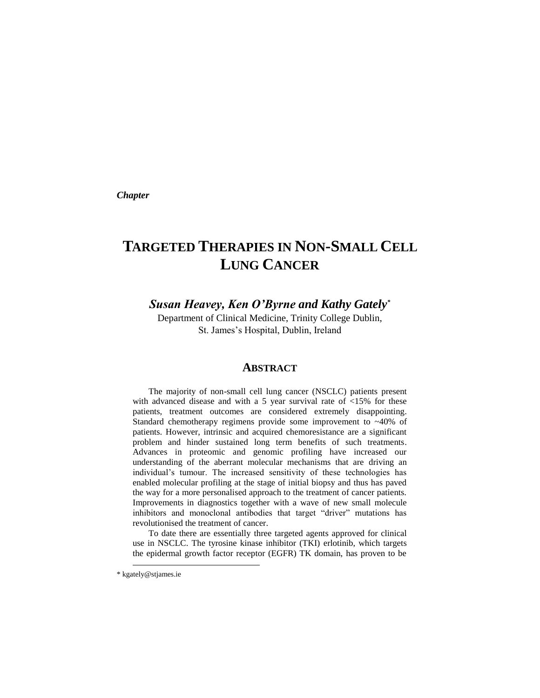*Chapter*

# **TARGETED THERAPIES IN NON-SMALL CELL LUNG CANCER**

*Susan Heavey, Ken O'Byrne and Kathy Gately\**

Department of Clinical Medicine, Trinity College Dublin, St. James's Hospital, Dublin, Ireland

#### **ABSTRACT**

The majority of non-small cell lung cancer (NSCLC) patients present with advanced disease and with a 5 year survival rate of <15% for these patients, treatment outcomes are considered extremely disappointing. Standard chemotherapy regimens provide some improvement to ~40% of patients. However, intrinsic and acquired chemoresistance are a significant problem and hinder sustained long term benefits of such treatments. Advances in proteomic and genomic profiling have increased our understanding of the aberrant molecular mechanisms that are driving an individual's tumour. The increased sensitivity of these technologies has enabled molecular profiling at the stage of initial biopsy and thus has paved the way for a more personalised approach to the treatment of cancer patients. Improvements in diagnostics together with a wave of new small molecule inhibitors and monoclonal antibodies that target "driver" mutations has revolutionised the treatment of cancer.

To date there are essentially three targeted agents approved for clinical use in NSCLC. The tyrosine kinase inhibitor (TKI) erlotinib, which targets the epidermal growth factor receptor (EGFR) TK domain, has proven to be

 $\overline{a}$ 

<sup>\*</sup> [kgately@stjames.ie](mailto:kgately@stjames.ie)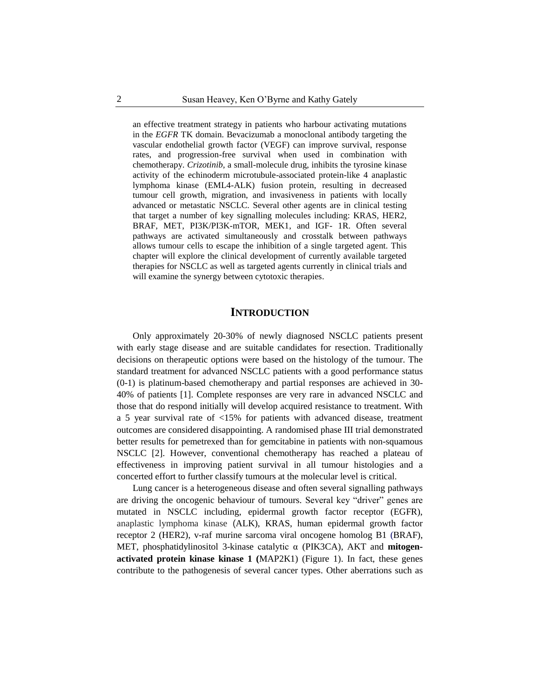an effective treatment strategy in patients who harbour activating mutations in the *EGFR* TK domain. Bevacizumab a monoclonal antibody targeting the vascular endothelial growth factor (VEGF) can improve survival, response rates, and progression-free survival when used in combination with chemotherapy. *[Crizotinib,](http://www.cancer.gov/drugdictionary?CdrID=586080)* a small-molecule drug, inhibits the tyrosine kinase activity of the echinoderm microtubule-associated protein-like 4 anaplastic lymphoma kinase (EML4-ALK) fusion protein, resulting in decreased tumour cell growth, migration, and invasiveness in patients with locally advanced or metastatic NSCLC. Several other agents are in clinical testing that target a number of key signalling molecules including: KRAS, HER2, BRAF, MET, PI3K/PI3K-mTOR, MEK1, and IGF- 1R. Often several pathways are activated simultaneously and crosstalk between pathways allows tumour cells to escape the inhibition of a single targeted agent. This chapter will explore the clinical development of currently available targeted therapies for NSCLC as well as targeted agents currently in clinical trials and will examine the synergy between cytotoxic therapies.

#### **INTRODUCTION**

Only approximately 20-30% of newly diagnosed NSCLC patients present with early stage disease and are suitable candidates for resection. Traditionally decisions on therapeutic options were based on the histology of the tumour. The standard treatment for advanced NSCLC patients with a good performance status (0-1) is platinum-based chemotherapy and partial responses are achieved in 30- 40% of patients [1]. Complete responses are very rare in advanced NSCLC and those that do respond initially will develop acquired resistance to treatment. With a 5 year survival rate of <15% for patients with advanced disease, treatment outcomes are considered disappointing. A randomised phase III trial demonstrated better results for pemetrexed than for gemcitabine in patients with non-squamous NSCLC [2]. However, conventional chemotherapy has reached a plateau of effectiveness in improving patient survival in all tumour histologies and a concerted effort to further classify tumours at the molecular level is critical.

Lung cancer is a heterogeneous disease and often several signalling pathways are driving the oncogenic behaviour of tumours. Several key "driver" genes are mutated in NSCLC including, epidermal growth factor receptor (EGFR), anaplastic lymphoma kinase (ALK), KRAS, human epidermal growth factor receptor 2 (HER2), v-raf murine sarcoma viral oncogene homolog B1 (BRAF), MET, phosphatidylinositol 3-kinase catalytic α (PIK3CA), AKT and **mitogenactivated protein kinase kinase 1 (**MAP2K1) (Figure 1). In fact, these genes contribute to the pathogenesis of several cancer types. Other aberrations such as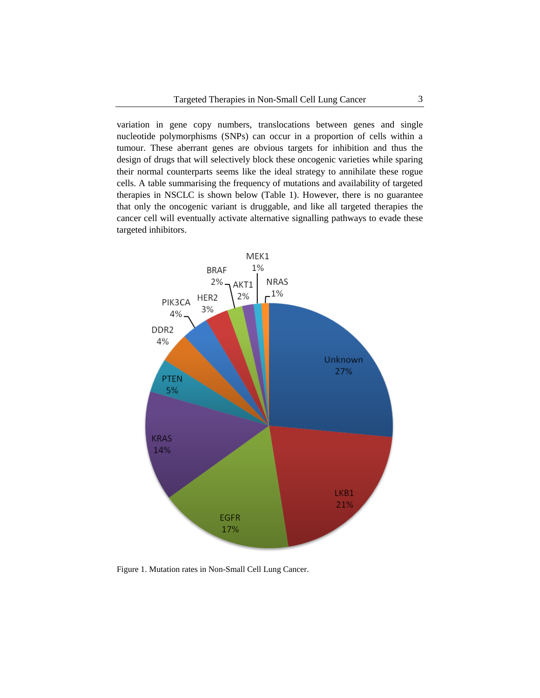variation in gene copy numbers, translocations between genes and single nucleotide polymorphisms (SNPs) can occur in a proportion of cells within a tumour. These aberrant genes are obvious targets for inhibition and thus the design of drugs that will selectively block these oncogenic varieties while sparing their normal counterparts seems like the ideal strategy to annihilate these rogue cells. A table summarising the frequency of mutations and availability of targeted therapies in NSCLC is shown below (Table 1). However, there is no guarantee that only the oncogenic variant is druggable, and like all targeted therapies the cancer cell will eventually activate alternative signalling pathways to evade these targeted inhibitors.



Figure 1. Mutation rates in Non-Small Cell Lung Cancer.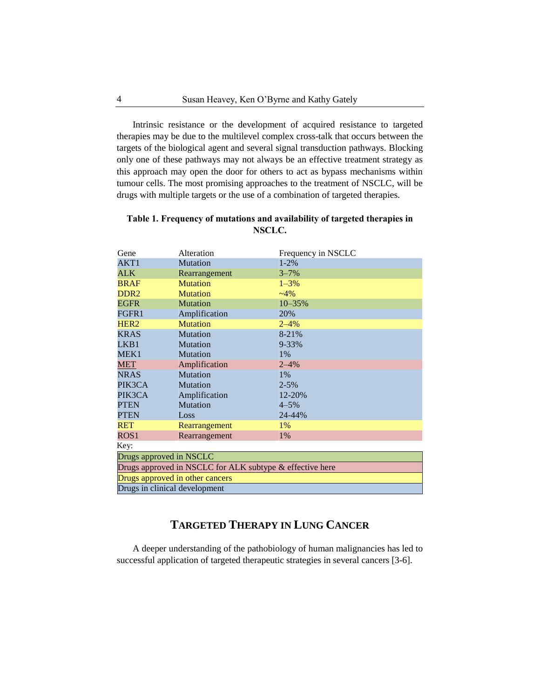Intrinsic resistance or the development of acquired resistance to targeted therapies may be due to the multilevel complex cross-talk that occurs between the targets of the biological agent and several signal transduction pathways. Blocking only one of these pathways may not always be an effective treatment strategy as this approach may open the door for others to act as bypass mechanisms within tumour cells. The most promising approaches to the treatment of NSCLC, will be drugs with multiple targets or the use of a combination of targeted therapies.

| Table 1. Frequency of mutations and availability of targeted therapies in |
|---------------------------------------------------------------------------|
| NSCLC.                                                                    |

| Gene                                                     | Alteration      | Frequency in NSCLC |  |
|----------------------------------------------------------|-----------------|--------------------|--|
| AKT1                                                     | <b>Mutation</b> | $1 - 2\%$          |  |
| <b>ALK</b>                                               | Rearrangement   | $3 - 7%$           |  |
| <b>BRAF</b>                                              | <b>Mutation</b> | $1 - 3\%$          |  |
| DDR <sub>2</sub>                                         | <b>Mutation</b> | $-4\%$             |  |
| <b>EGFR</b>                                              | <b>Mutation</b> | $10 - 35%$         |  |
| FGFR1                                                    | Amplification   | 20%                |  |
| HER <sub>2</sub>                                         | <b>Mutation</b> | $2 - 4%$           |  |
| <b>KRAS</b>                                              | <b>Mutation</b> | $8 - 21%$          |  |
| LKB1                                                     | <b>Mutation</b> | $9 - 33%$          |  |
| MEK1                                                     | Mutation        | $1\%$              |  |
| MET                                                      | Amplification   | $2 - 4\%$          |  |
| <b>NRAS</b>                                              | <b>Mutation</b> | $1\%$              |  |
| PIK3CA                                                   | Mutation        | $2 - 5%$           |  |
| PIK3CA                                                   | Amplification   | 12-20%             |  |
| <b>PTEN</b>                                              | <b>Mutation</b> | $4 - 5\%$          |  |
| PTEN                                                     | Loss            | 24-44%             |  |
| <b>RET</b>                                               | Rearrangement   | $1\%$              |  |
| ROS1                                                     | Rearrangement   | 1%                 |  |
| Key:                                                     |                 |                    |  |
| Drugs approved in NSCLC                                  |                 |                    |  |
| Drugs approved in NSCLC for ALK subtype & effective here |                 |                    |  |
| Drugs approved in other cancers                          |                 |                    |  |
| Drugs in clinical development                            |                 |                    |  |

# **TARGETED THERAPY IN LUNG CANCER**

A deeper understanding of the pathobiology of human malignancies has led to successful application of targeted therapeutic strategies in several cancers [3-6].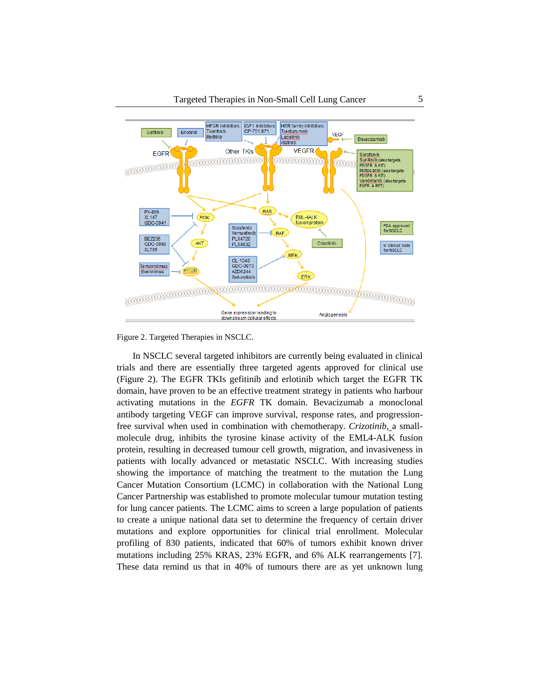

Figure 2. Targeted Therapies in NSCLC.

In NSCLC several targeted inhibitors are currently being evaluated in clinical trials and there are essentially three targeted agents approved for clinical use (Figure 2). The EGFR TKIs gefitinib and erlotinib which target the EGFR TK domain, have proven to be an effective treatment strategy in patients who harbour activating mutations in the *EGFR* TK domain. Bevacizumab a monoclonal antibody targeting VEGF can improve survival, response rates, and progressionfree survival when used in combination with chemotherapy. *[Crizotinib,](http://www.cancer.gov/drugdictionary?CdrID=586080)* a smallmolecule drug, inhibits the tyrosine kinase activity of the EML4-ALK fusion protein, resulting in decreased tumour cell growth, migration, and invasiveness in patients with locally advanced or metastatic NSCLC. With increasing studies showing the importance of matching the treatment to the mutation the Lung Cancer Mutation Consortium (LCMC) in collaboration with the National Lung Cancer Partnership was established to promote molecular tumour mutation testing for lung cancer patients. The LCMC aims to screen a large population of patients to create a unique national data set to determine the frequency of certain driver mutations and explore opportunities for clinical trial enrollment. Molecular profiling of 830 patients, indicated that 60% of tumors exhibit known driver mutations including 25% KRAS, 23% EGFR, and 6% ALK rearrangements [7]. These data remind us that in 40% of tumours there are as yet unknown lung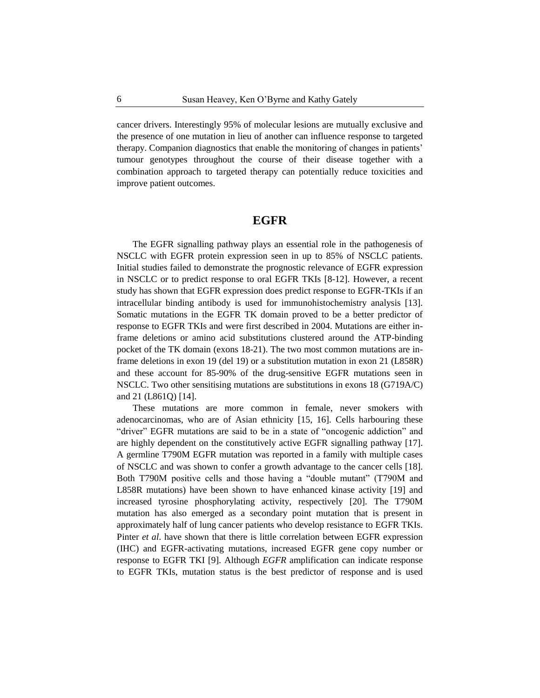cancer drivers. Interestingly 95% of molecular lesions are mutually exclusive and the presence of one mutation in lieu of another can influence response to targeted therapy. Companion diagnostics that enable the monitoring of changes in patients' tumour genotypes throughout the course of their disease together with a combination approach to targeted therapy can potentially reduce toxicities and improve patient outcomes.

## **EGFR**

The EGFR signalling pathway plays an essential role in the pathogenesis of NSCLC with EGFR protein expression seen in up to 85% of NSCLC patients. Initial studies failed to demonstrate the prognostic relevance of EGFR expression in NSCLC or to predict response to oral EGFR TKIs [8-12]. However, a recent study has shown that EGFR expression does predict response to EGFR-TKIs if an intracellular binding antibody is used for immunohistochemistry analysis [13]. Somatic mutations in the EGFR TK domain proved to be a better predictor of response to EGFR TKIs and were first described in 2004. Mutations are either inframe deletions or amino acid substitutions clustered around the ATP-binding pocket of the TK domain (exons 18-21). The two most common mutations are inframe deletions in exon 19 (del 19) or a substitution mutation in exon 21 (L858R) and these account for 85-90% of the drug-sensitive EGFR mutations seen in NSCLC. Two other sensitising mutations are substitutions in exons 18 (G719A/C) and 21 (L861Q) [14].

These mutations are more common in female, never smokers with adenocarcinomas, who are of Asian ethnicity [15, 16]. Cells harbouring these "driver" EGFR mutations are said to be in a state of "oncogenic addiction" and are highly dependent on the constitutively active EGFR signalling pathway [17]. A germline T790M EGFR mutation was reported in a family with multiple cases of NSCLC and was shown to confer a growth advantage to the cancer cells [18]. Both T790M positive cells and those having a "double mutant" (T790M and L858R mutations) have been shown to have enhanced kinase activity [19] and increased tyrosine phosphorylating activity, respectively [20]. The T790M mutation has also emerged as a secondary point mutation that is present in approximately half of lung cancer patients who develop resistance to EGFR TKIs. Pinter *et al*. have shown that there is little correlation between EGFR expression (IHC) and EGFR-activating mutations, increased EGFR gene copy number or response to EGFR TKI [9]. Although *EGFR* amplification can indicate response to EGFR TKIs, mutation status is the best predictor of response and is used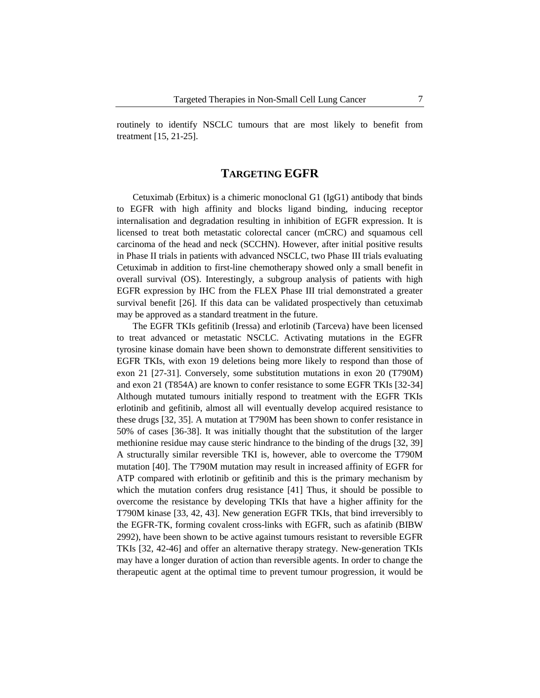routinely to identify NSCLC tumours that are most likely to benefit from treatment [15, 21-25].

# **TARGETING EGFR**

Cetuximab (Erbitux) is a chimeric monoclonal G1 (IgG1) antibody that binds to EGFR with high affinity and blocks ligand binding, inducing receptor internalisation and degradation resulting in inhibition of EGFR expression. It is licensed to treat both metastatic colorectal cancer (mCRC) and squamous cell carcinoma of the head and neck (SCCHN). However, after initial positive results in Phase II trials in patients with advanced NSCLC, two Phase III trials evaluating Cetuximab in addition to first-line chemotherapy showed only a small benefit in overall survival (OS). Interestingly, a subgroup analysis of patients with high EGFR expression by IHC from the FLEX Phase III trial demonstrated a greater survival benefit [26]. If this data can be validated prospectively than cetuximab may be approved as a standard treatment in the future.

The EGFR TKIs gefitinib (Iressa) and erlotinib (Tarceva) have been licensed to treat advanced or metastatic NSCLC. Activating mutations in the EGFR tyrosine kinase domain have been shown to demonstrate different sensitivities to EGFR TKIs, with exon 19 deletions being more likely to respond than those of exon 21 [27-31]. Conversely, some substitution mutations in exon 20 (T790M) and exon 21 (T854A) are known to confer resistance to some EGFR TKIs [32-34] Although mutated tumours initially respond to treatment with the EGFR TKIs erlotinib and gefitinib, almost all will eventually develop acquired resistance to these drugs [32, 35]. A mutation at T790M has been shown to confer resistance in 50% of cases [36-38]. It was initially thought that the substitution of the larger methionine residue may cause steric hindrance to the binding of the drugs [32, 39] A structurally similar reversible TKI is, however, able to overcome the T790M mutation [40]. The T790M mutation may result in increased affinity of EGFR for ATP compared with erlotinib or gefitinib and this is the primary mechanism by which the mutation confers drug resistance [41] Thus, it should be possible to overcome the resistance by developing TKIs that have a higher affinity for the T790M kinase [33, 42, 43]. New generation EGFR TKIs, that bind irreversibly to the EGFR-TK, forming covalent cross-links with EGFR, such as afatinib (BIBW 2992), have been shown to be active against tumours resistant to reversible EGFR TKIs [32, 42-46] and offer an alternative therapy strategy. New-generation TKIs may have a longer duration of action than reversible agents. In order to change the therapeutic agent at the optimal time to prevent tumour progression, it would be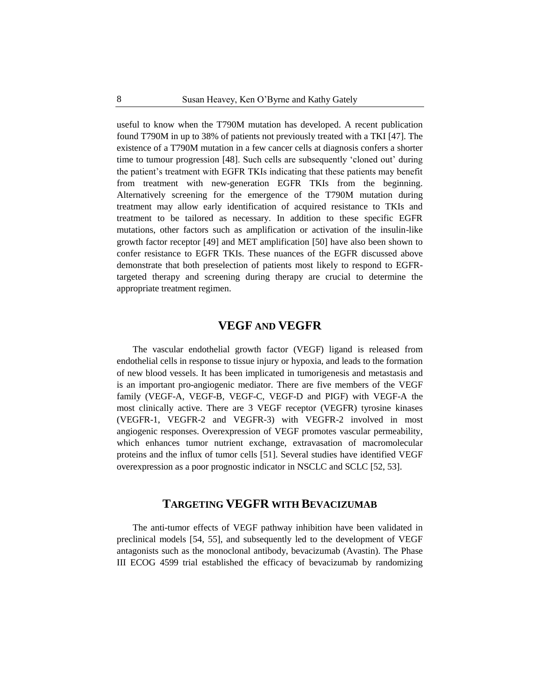useful to know when the T790M mutation has developed. A recent publication found T790M in up to 38% of patients not previously treated with a TKI [47]. The existence of a T790M mutation in a few cancer cells at diagnosis confers a shorter time to tumour progression [48]. Such cells are subsequently 'cloned out' during the patient's treatment with EGFR TKIs indicating that these patients may benefit from treatment with new-generation EGFR TKIs from the beginning. Alternatively screening for the emergence of the T790M mutation during treatment may allow early identification of acquired resistance to TKIs and treatment to be tailored as necessary. In addition to these specific EGFR mutations, other factors such as amplification or activation of the insulin-like growth factor receptor [49] and MET amplification [50] have also been shown to confer resistance to EGFR TKIs. These nuances of the EGFR discussed above demonstrate that both preselection of patients most likely to respond to EGFRtargeted therapy and screening during therapy are crucial to determine the appropriate treatment regimen.

# **VEGF AND VEGFR**

The vascular endothelial growth factor (VEGF) ligand is released from endothelial cells in response to tissue injury or hypoxia, and leads to the formation of new blood vessels. It has been implicated in tumorigenesis and metastasis and is an important pro-angiogenic mediator. There are five members of the VEGF family (VEGF-A, VEGF-B, VEGF-C, VEGF-D and PIGF) with VEGF-A the most clinically active. There are 3 VEGF receptor (VEGFR) tyrosine kinases (VEGFR-1, VEGFR-2 and VEGFR-3) with VEGFR-2 involved in most angiogenic responses. Overexpression of VEGF promotes vascular permeability, which enhances tumor nutrient exchange, extravasation of macromolecular proteins and the influx of tumor cells [51]. Several studies have identified VEGF overexpression as a poor prognostic indicator in NSCLC and SCLC [52, 53].

# **TARGETING VEGFR WITH BEVACIZUMAB**

The anti-tumor effects of VEGF pathway inhibition have been validated in preclinical models [54, 55], and subsequently led to the development of VEGF antagonists such as the monoclonal antibody, bevacizumab (Avastin). The Phase III ECOG 4599 trial established the efficacy of bevacizumab by randomizing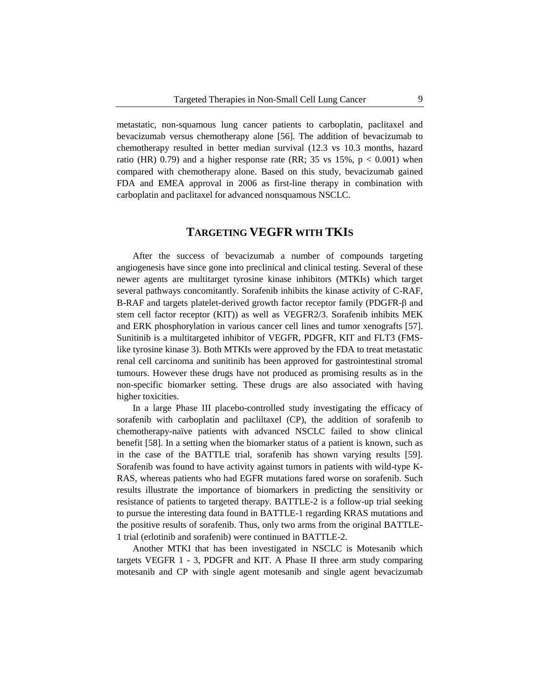metastatic, non-squamous lung cancer patients to carboplatin, paclitaxel and bevacizumab versus chemotherapy alone [56]. The addition of bevacizumab to chemotherapy resulted in better median survival (12.3 vs 10.3 months, hazard ratio (HR) 0.79) and a higher response rate (RR; 35 vs  $15\%$ ,  $p < 0.001$ ) when compared with chemotherapy alone. Based on this study, bevacizumab gained FDA and EMEA approval in 2006 as first-line therapy in combination with carboplatin and paclitaxel for advanced nonsquamous NSCLC.

## **TARGETING VEGFR WITH TKIS**

After the success of bevacizumab a number of compounds targeting angiogenesis have since gone into preclinical and clinical testing. Several of these newer agents are multitarget tyrosine kinase inhibitors (MTKIs) which target several pathways concomitantly. Sorafenib inhibits the kinase activity of C-RAF, B-RAF and targets platelet-derived growth factor receptor family (PDGFR-β and stem cell factor receptor (KIT)) as well as VEGFR2/3. Sorafenib inhibits MEK and ERK phosphorylation in various cancer cell lines and tumor xenografts [57]. Sunitinib is a multitargeted inhibitor of VEGFR, PDGFR, KIT and FLT3 (FMSlike tyrosine kinase 3). Both MTKIs were approved by the FDA to treat metastatic renal cell carcinoma and sunitinib has been approved for gastrointestinal stromal tumours. However these drugs have not produced as promising results as in the non-specific biomarker setting. These drugs are also associated with having higher toxicities.

In a large Phase III placebo-controlled study investigating the efficacy of sorafenib with carboplatin and pacliltaxel (CP), the addition of sorafenib to chemotherapy-naïve patients with advanced NSCLC failed to show clinical benefit [58]. In a setting when the biomarker status of a patient is known, such as in the case of the BATTLE trial, sorafenib has shown varying results [59]. Sorafenib was found to have activity against tumors in patients with wild-type K-RAS, whereas patients who had EGFR mutations fared worse on sorafenib. Such results illustrate the importance of biomarkers in predicting the sensitivity or resistance of patients to targeted therapy. BATTLE-2 is a follow-up trial seeking to pursue the interesting data found in BATTLE-1 regarding KRAS mutations and the positive results of sorafenib. Thus, only two arms from the original BATTLE-1 trial (erlotinib and sorafenib) were continued in BATTLE-2.

Another MTKI that has been investigated in NSCLC is Motesanib which targets VEGFR 1 - 3, PDGFR and KIT. A Phase II three arm study comparing motesanib and CP with single agent motesanib and single agent bevacizumab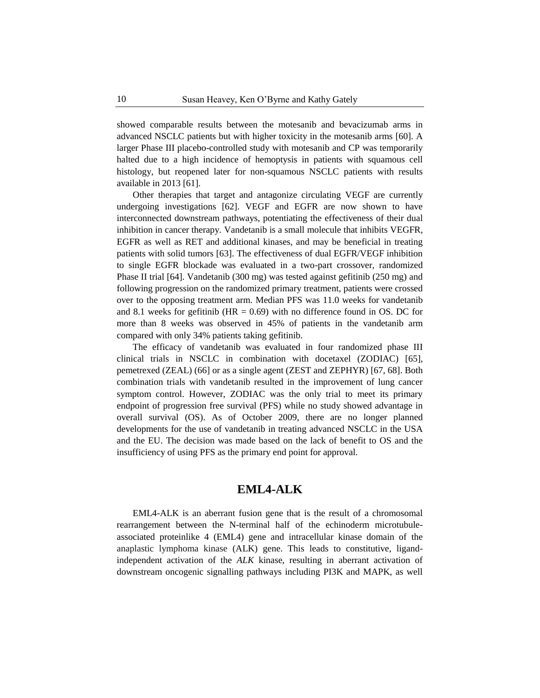showed comparable results between the motesanib and bevacizumab arms in advanced NSCLC patients but with higher toxicity in the motesanib arms [60]. A larger Phase III placebo-controlled study with motesanib and CP was temporarily halted due to a high incidence of hemoptysis in patients with squamous cell histology, but reopened later for non-squamous NSCLC patients with results available in 2013 [61].

Other therapies that target and antagonize circulating VEGF are currently undergoing investigations [62]. VEGF and EGFR are now shown to have interconnected downstream pathways, potentiating the effectiveness of their dual inhibition in cancer therapy. Vandetanib is a small molecule that inhibits VEGFR, EGFR as well as RET and additional kinases, and may be beneficial in treating patients with solid tumors [63]. The effectiveness of dual EGFR/VEGF inhibition to single EGFR blockade was evaluated in a two-part crossover, randomized Phase II trial [64]. Vandetanib (300 mg) was tested against gefitinib (250 mg) and following progression on the randomized primary treatment, patients were crossed over to the opposing treatment arm. Median PFS was 11.0 weeks for vandetanib and 8.1 weeks for gefitinib ( $HR = 0.69$ ) with no difference found in OS. DC for more than 8 weeks was observed in 45% of patients in the vandetanib arm compared with only 34% patients taking gefitinib.

The efficacy of vandetanib was evaluated in four randomized phase III clinical trials in NSCLC in combination with docetaxel (ZODIAC) [65], pemetrexed (ZEAL) (66] or as a single agent (ZEST and ZEPHYR) [67, 68]. Both combination trials with vandetanib resulted in the improvement of lung cancer symptom control. However, ZODIAC was the only trial to meet its primary endpoint of progression free survival (PFS) while no study showed advantage in overall survival (OS). As of October 2009, there are no longer planned developments for the use of vandetanib in treating advanced NSCLC in the USA and the EU. The decision was made based on the lack of benefit to OS and the insufficiency of using PFS as the primary end point for approval.

# **EML4-ALK**

EML4-ALK is an aberrant fusion gene that is the result of a chromosomal rearrangement between the N-terminal half of the echinoderm microtubuleassociated proteinlike 4 (EML4) gene and intracellular kinase domain of the anaplastic lymphoma kinase (ALK) gene. This leads to constitutive, ligandindependent activation of the *ALK* kinase, resulting in aberrant activation of downstream oncogenic signalling pathways including PI3K and MAPK, as well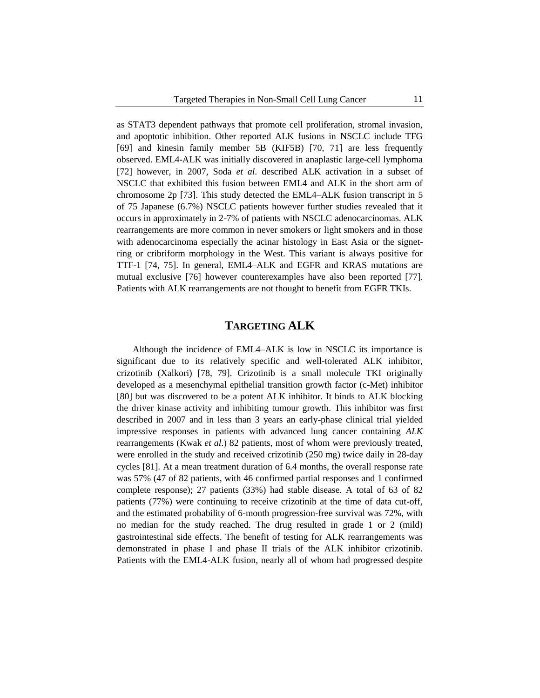as STAT3 dependent pathways that promote cell proliferation, stromal invasion, and apoptotic inhibition. Other reported ALK fusions in NSCLC include TFG [69] and kinesin family member 5B (KIF5B) [70, 71] are less frequently observed. EML4-ALK was initially discovered in anaplastic large-cell lymphoma [72] however, in 2007, Soda *et al*. described ALK activation in a subset of NSCLC that exhibited this fusion between EML4 and ALK in the short arm of chromosome 2p [73]. This study detected the EML4–ALK fusion transcript in 5 of 75 Japanese (6.7%) NSCLC patients however further studies revealed that it occurs in approximately in 2-7% of patients with NSCLC adenocarcinomas. ALK rearrangements are more common in never smokers or light smokers and in those with adenocarcinoma especially the acinar histology in East Asia or the signetring or cribriform morphology in the West. This variant is always positive for TTF-1 [74, 75]. In general, EML4–ALK and EGFR and KRAS mutations are mutual exclusive [76] however counterexamples have also been reported [77]. Patients with ALK rearrangements are not thought to benefit from EGFR TKIs.

## **TARGETING ALK**

Although the incidence of EML4–ALK is low in NSCLC its importance is significant due to its relatively specific and well-tolerated ALK inhibitor, crizotinib (Xalkori) [78, 79]. Crizotinib is a small molecule TKI originally developed as a mesenchymal epithelial transition growth factor (c-Met) inhibitor [80] but was discovered to be a potent ALK inhibitor. It binds to ALK blocking the driver kinase activity and inhibiting tumour growth. This inhibitor was first described in 2007 and in less than 3 years an early-phase clinical trial yielded impressive responses in patients with advanced lung cancer containing *ALK* rearrangements (Kwak *et al*.) 82 patients, most of whom were previously treated, were enrolled in the study and received crizotinib (250 mg) twice daily in 28-day cycles [81]. At a mean treatment duration of 6.4 months, the overall response rate was 57% (47 of 82 patients, with 46 confirmed partial responses and 1 confirmed complete response); 27 patients (33%) had stable disease. A total of 63 of 82 patients (77%) were continuing to receive crizotinib at the time of data cut-off, and the estimated probability of 6-month progression-free survival was 72%, with no median for the study reached. The drug resulted in grade 1 or 2 (mild) gastrointestinal side effects. The benefit of testing for ALK rearrangements was demonstrated in phase I and phase II trials of the ALK inhibitor crizotinib. Patients with the EML4-ALK fusion, nearly all of whom had progressed despite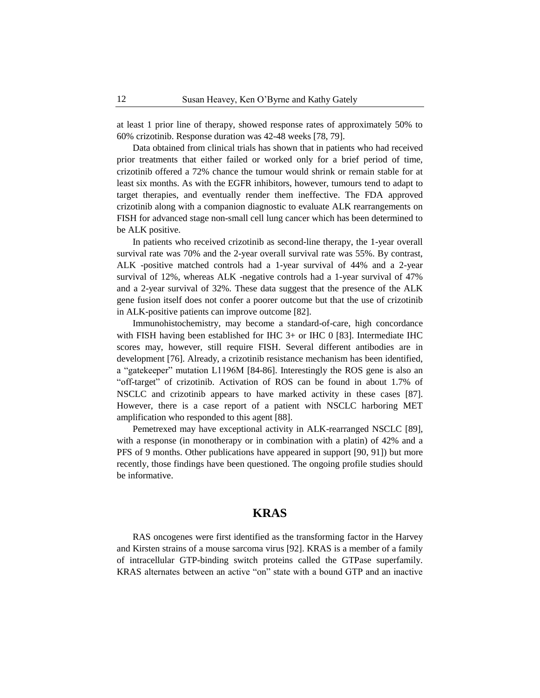at least 1 prior line of therapy, showed response rates of approximately 50% to 60% crizotinib. Response duration was 42-48 weeks [78, 79].

Data obtained from clinical trials has shown that in patients who had received prior treatments that either failed or worked only for a brief period of time, crizotinib offered a 72% chance the tumour would shrink or remain stable for at least six months. As with the EGFR inhibitors, however, tumours tend to adapt to target therapies, and eventually render them ineffective. The FDA approved crizotinib along with a companion diagnostic to evaluate ALK rearrangements on FISH for advanced stage non-small cell lung cancer which has been determined to be ALK positive.

In patients who received crizotinib as second-line therapy, the 1-year overall survival rate was 70% and the 2-year overall survival rate was 55%. By contrast, ALK -positive matched controls had a 1-year survival of 44% and a 2-year survival of 12%, whereas ALK -negative controls had a 1-year survival of 47% and a 2-year survival of 32%. These data suggest that the presence of the ALK gene fusion itself does not confer a poorer outcome but that the use of crizotinib in ALK-positive patients can improve outcome [82].

Immunohistochemistry, may become a standard-of-care, high concordance with FISH having been established for IHC 3+ or IHC 0 [83]. Intermediate IHC scores may, however, still require FISH. Several different antibodies are in development [76]. Already, a crizotinib resistance mechanism has been identified, a "gatekeeper" mutation L1196M [84-86]. Interestingly the ROS gene is also an "off-target" of crizotinib. Activation of ROS can be found in about 1.7% of NSCLC and crizotinib appears to have marked activity in these cases [87]. However, there is a case report of a patient with NSCLC harboring MET amplification who responded to this agent [88].

Pemetrexed may have exceptional activity in ALK-rearranged NSCLC [89], with a response (in monotherapy or in combination with a platin) of 42% and a PFS of 9 months. Other publications have appeared in support [90, 91]) but more recently, those findings have been questioned. The ongoing profile studies should be informative.

#### **KRAS**

RAS oncogenes were first identified as the transforming factor in the Harvey and Kirsten strains of a mouse sarcoma virus [92]. KRAS is a member of a family of intracellular GTP-binding switch proteins called the GTPase superfamily. KRAS alternates between an active "on" state with a bound GTP and an inactive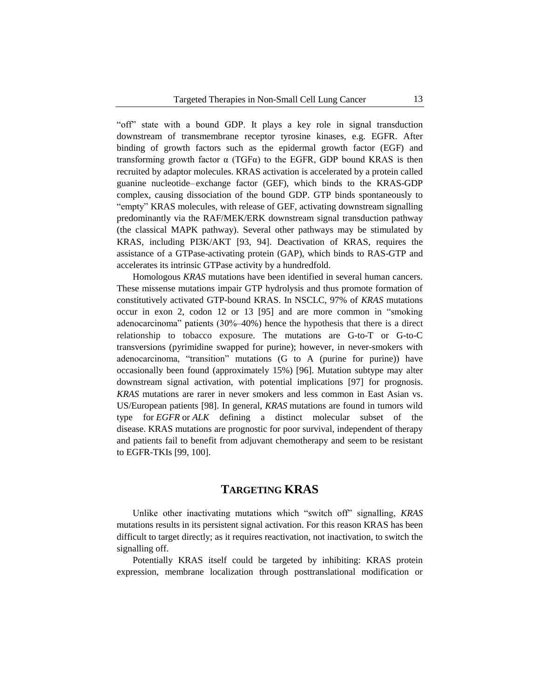"off" state with a bound GDP. It plays a key role in signal transduction downstream of transmembrane receptor tyrosine kinases, e.g. EGFR. After binding of growth factors such as the epidermal growth factor (EGF) and transforming growth factor α (TGFα) to the EGFR, GDP bound KRAS is then recruited by adaptor molecules. KRAS activation is accelerated by a protein called guanine nucleotide– exchange factor (GEF), which binds to the KRAS-GDP complex, causing dissociation of the bound GDP. GTP binds spontaneously to "empty" KRAS molecules, with release of GEF, activating downstream signalling predominantly via the RAF/MEK/ERK downstream signal transduction pathway (the classical MAPK pathway). Several other pathways may be stimulated by KRAS, including PI3K/AKT [93, 94]. Deactivation of KRAS, requires the assistance of a GTPase-activating protein (GAP), which binds to RAS-GTP and accelerates its intrinsic GTPase activity by a hundredfold.

Homologous *KRAS* mutations have been identified in several human cancers. These missense mutations impair GTP hydrolysis and thus promote formation of constitutively activated GTP-bound KRAS. In NSCLC, 97% of *KRAS* mutations occur in exon 2, codon 12 or 13 [95] and are more common in "smoking adenocarcinoma" patients (30%–40%) hence the hypothesis that there is a direct relationship to tobacco exposure. The mutations are G-to-T or G-to-C transversions (pyrimidine swapped for purine); however, in never-smokers with adenocarcinoma, "transition" mutations (G to A (purine for purine)) have occasionally been found (approximately 15%) [96]. Mutation subtype may alter downstream signal activation, with potential implications [97] for prognosis. *KRAS* mutations are rarer in never smokers and less common in East Asian vs. US/European patients [98]. In general, *KRAS* mutations are found in tumors wild type for *EGFR* or *ALK* defining a distinct molecular subset of the disease. KRAS mutations are prognostic for poor survival, independent of therapy and patients fail to benefit from adjuvant chemotherapy and seem to be resistant to EGFR-TKIs [99, 100].

# **TARGETING KRAS**

Unlike other inactivating mutations which "switch off" signalling, *KRAS* mutations results in its persistent signal activation. For this reason KRAS has been difficult to target directly; as it requires reactivation, not inactivation, to switch the signalling off.

Potentially KRAS itself could be targeted by inhibiting: KRAS protein expression, membrane localization through posttranslational modification or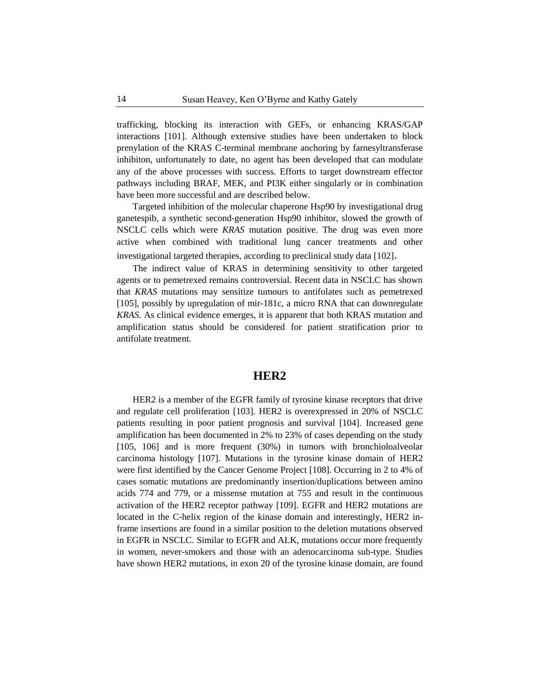trafficking, blocking its interaction with GEFs, or enhancing KRAS/GAP interactions [101]. Although extensive studies have been undertaken to block prenylation of the KRAS C-terminal membrane anchoring by farnesyltransferase inhibiton, unfortunately to date, no agent has been developed that can modulate any of the above processes with success. Efforts to target downstream effector pathways including BRAF, MEK, and PI3K either singularly or in combination have been more successful and are described below.

Targeted inhibition of the molecular chaperone Hsp90 by investigational drug ganetespib, a synthetic second-generation Hsp90 inhibitor, slowed the growth of NSCLC cells which were *KRAS* mutation positive. The drug was even more active when combined with traditional lung cancer treatments and other investigational targeted therapies, according to preclinical study data [102].

The indirect value of KRAS in determining sensitivity to other targeted agents or to pemetrexed remains controversial. Recent data in NSCLC has shown that *KRAS* mutations may sensitize tumours to antifolates such as pemetrexed [105], possibly by upregulation of mir-181c, a micro RNA that can downregulate *KRAS*. As clinical evidence emerges, it is apparent that both KRAS mutation and amplification status should be considered for patient stratification prior to antifolate treatment.

#### **HER2**

HER2 is a member of the EGFR family of tyrosine kinase receptors that drive and regulate cell proliferation [103]. HER2 is overexpressed in 20% of NSCLC patients resulting in poor patient prognosis and survival [104]. Increased gene amplification has been documented in 2% to 23% of cases depending on the study [105, 106] and is more frequent (30%) in tumors with bronchioloalveolar carcinoma histology [107]. Mutations in the tyrosine kinase domain of HER2 were first identified by the Cancer Genome Project [108]. Occurring in 2 to 4% of cases somatic mutations are predominantly insertion/duplications between amino acids 774 and 779, or a missense mutation at 755 and result in the continuous activation of the HER2 receptor pathway [109]. EGFR and HER2 mutations are located in the C-helix region of the kinase domain and interestingly, HER2 inframe insertions are found in a similar position to the deletion mutations observed in EGFR in NSCLC. Similar to EGFR and ALK, mutations occur more frequently in women, never-smokers and those with an adenocarcinoma sub-type. Studies have shown HER2 mutations, in exon 20 of the tyrosine kinase domain, are found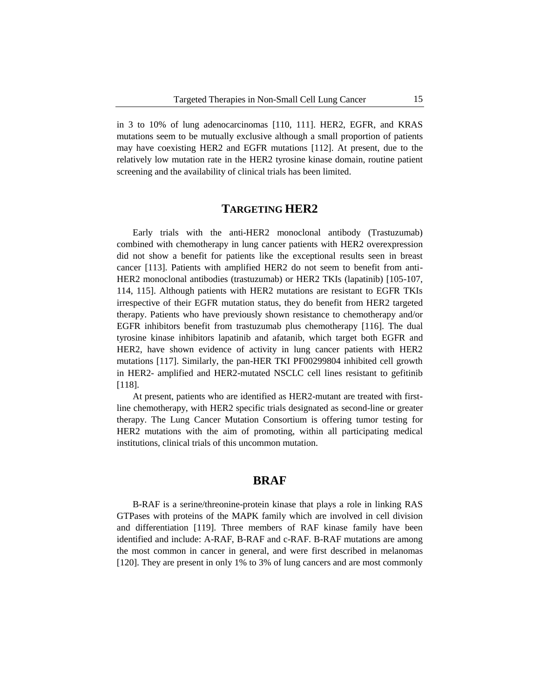in 3 to 10% of lung adenocarcinomas [110, 111]. HER2, EGFR, and KRAS mutations seem to be mutually exclusive although a small proportion of patients may have coexisting HER2 and EGFR mutations [112]. At present, due to the relatively low mutation rate in the HER2 tyrosine kinase domain, routine patient screening and the availability of clinical trials has been limited.

## **TARGETING HER2**

Early trials with the anti-HER2 monoclonal antibody (Trastuzumab) combined with chemotherapy in lung cancer patients with HER2 overexpression did not show a benefit for patients like the exceptional results seen in breast cancer [113]. Patients with amplified HER2 do not seem to benefit from anti-HER2 monoclonal antibodies (trastuzumab) or HER2 TKIs (lapatinib) [105-107, 114, 115]. Although patients with HER2 mutations are resistant to EGFR TKIs irrespective of their EGFR mutation status, they do benefit from HER2 targeted therapy. Patients who have previously shown resistance to chemotherapy and/or EGFR inhibitors benefit from trastuzumab plus chemotherapy [116]. The dual tyrosine kinase inhibitors lapatinib and afatanib, which target both EGFR and HER2, have shown evidence of activity in lung cancer patients with HER2 mutations [117]. Similarly, the pan-HER TKI PF00299804 inhibited cell growth in HER2- amplified and HER2-mutated NSCLC cell lines resistant to gefitinib [118].

At present, patients who are identified as HER2-mutant are treated with firstline chemotherapy, with HER2 specific trials designated as second-line or greater therapy. The Lung Cancer Mutation Consortium is offering tumor testing for HER2 mutations with the aim of promoting, within all participating medical institutions, clinical trials of this uncommon mutation.

#### **BRAF**

B-RAF is a serine/threonine-protein kinase that plays a role in linking RAS GTPases with proteins of the MAPK family which are involved in cell division and differentiation [119]. Three members of RAF kinase family have been identified and include: A-RAF, B-RAF and c-RAF. B-RAF mutations are among the most common in cancer in general, and were first described in melanomas [120]. They are present in only 1% to 3% of lung cancers and are most commonly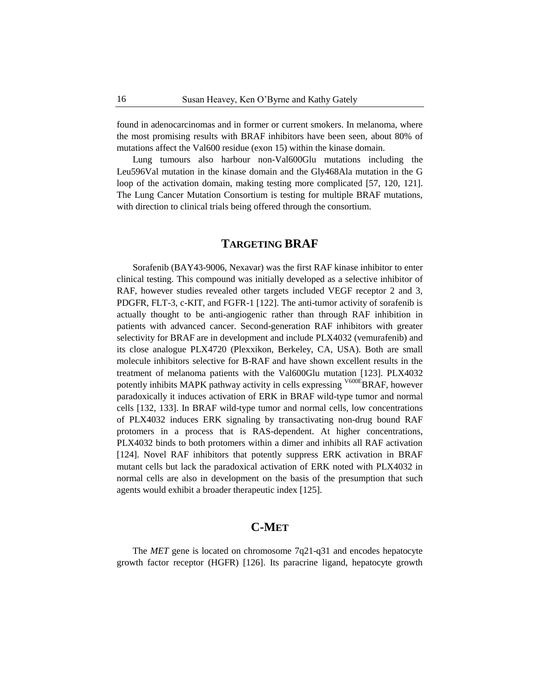found in adenocarcinomas and in former or current smokers. In melanoma, where the most promising results with BRAF inhibitors have been seen, about 80% of mutations affect the Val600 residue (exon 15) within the kinase domain.

Lung tumours also harbour non-Val600Glu mutations including the Leu596Val mutation in the kinase domain and the Gly468Ala mutation in the G loop of the activation domain, making testing more complicated [57, 120, 121]. The Lung Cancer Mutation Consortium is testing for multiple BRAF mutations, with direction to clinical trials being offered through the consortium.

# **TARGETING BRAF**

Sorafenib (BAY43-9006, Nexavar) was the first RAF kinase inhibitor to enter clinical testing. This compound was initially developed as a selective inhibitor of RAF, however studies revealed other targets included VEGF receptor 2 and 3, PDGFR, FLT-3, c-KIT, and FGFR-1 [122]. The anti-tumor activity of sorafenib is actually thought to be anti-angiogenic rather than through RAF inhibition in patients with advanced cancer. Second-generation RAF inhibitors with greater selectivity for BRAF are in development and include PLX4032 (vemurafenib) and its close analogue PLX4720 (Plexxikon, Berkeley, CA, USA). Both are small molecule inhibitors selective for B-RAF and have shown excellent results in the treatment of melanoma patients with the Val600Glu mutation [123]. PLX4032 potently inhibits MAPK pathway activity in cells expressing <sup>V600E</sup>BRAF, however paradoxically it induces activation of ERK in BRAF wild-type tumor and normal cells [132, 133]. In BRAF wild-type tumor and normal cells, low concentrations of PLX4032 induces ERK signaling by transactivating non-drug bound RAF protomers in a process that is RAS-dependent. At higher concentrations, PLX4032 binds to both protomers within a dimer and inhibits all RAF activation [124]. Novel RAF inhibitors that potently suppress ERK activation in BRAF mutant cells but lack the paradoxical activation of ERK noted with PLX4032 in normal cells are also in development on the basis of the presumption that such agents would exhibit a broader therapeutic index [125].

# **C-MET**

The *MET* gene is located on chromosome 7q21-q31 and encodes hepatocyte growth factor receptor (HGFR) [126]. Its paracrine ligand, hepatocyte growth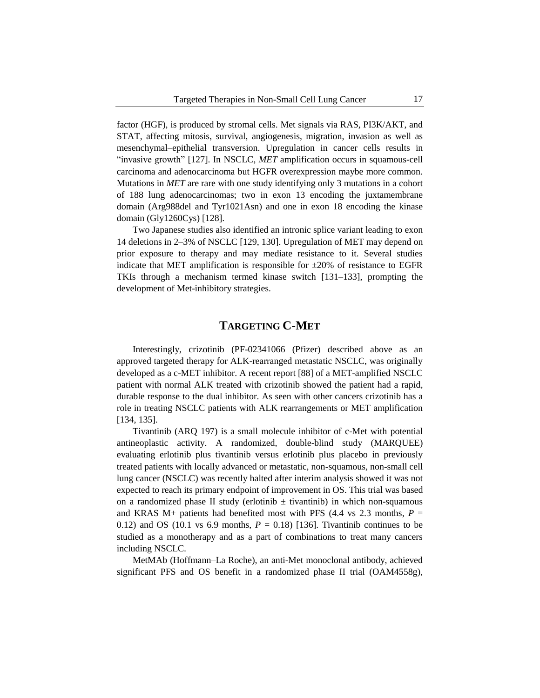factor (HGF), is produced by stromal cells. Met signals via RAS, PI3K/AKT, and STAT, affecting mitosis, survival, angiogenesis, migration, invasion as well as mesenchymal–epithelial transversion. Upregulation in cancer cells results in "invasive growth" [127]. In NSCLC, *MET* amplification occurs in squamous-cell carcinoma and adenocarcinoma but HGFR overexpression maybe more common. Mutations in *MET* are rare with one study identifying only 3 mutations in a cohort of 188 lung adenocarcinomas; two in exon 13 encoding the juxtamembrane domain (Arg988del and Tyr1021Asn) and one in exon 18 encoding the kinase domain (Gly1260Cys) [128].

Two Japanese studies also identified an intronic splice variant leading to exon 14 deletions in 2–3% of NSCLC [129, 130]. Upregulation of MET may depend on prior exposure to therapy and may mediate resistance to it. Several studies indicate that MET amplification is responsible for  $\pm 20\%$  of resistance to EGFR TKIs through a mechanism termed kinase switch [131–133], prompting the development of Met-inhibitory strategies.

## **TARGETING C-MET**

Interestingly, crizotinib (PF-02341066 (Pfizer) described above as an approved targeted therapy for ALK-rearranged metastatic NSCLC, was originally developed as a c-MET inhibitor. A recent report [88] of a MET-amplified NSCLC patient with normal ALK treated with crizotinib showed the patient had a rapid, durable response to the dual inhibitor. As seen with other cancers crizotinib has a role in treating NSCLC patients with ALK rearrangements or MET amplification [134, 135].

Tivantinib (ARQ 197) is a small molecule inhibitor of c-Met with potential antineoplastic activity. A randomized, double-blind study (MARQUEE) evaluating erlotinib plus tivantinib versus erlotinib plus placebo in previously treated patients with locally advanced or metastatic, non-squamous, non-small cell lung cancer (NSCLC) was recently halted after interim analysis showed it was not expected to reach its primary endpoint of improvement in OS. This trial was based on a randomized phase II study (erlotinib  $\pm$  tivantinib) in which non-squamous and KRAS  $M+$  patients had benefited most with PFS (4.4 vs 2.3 months,  $P =$ 0.12) and OS (10.1 vs 6.9 months,  $P = 0.18$ ) [136]. Tivantinib continues to be studied as a monotherapy and as a part of combinations to treat many cancers including NSCLC.

MetMAb (Hoffmann–La Roche), an anti-Met monoclonal antibody, achieved significant PFS and OS benefit in a randomized phase II trial (OAM4558g),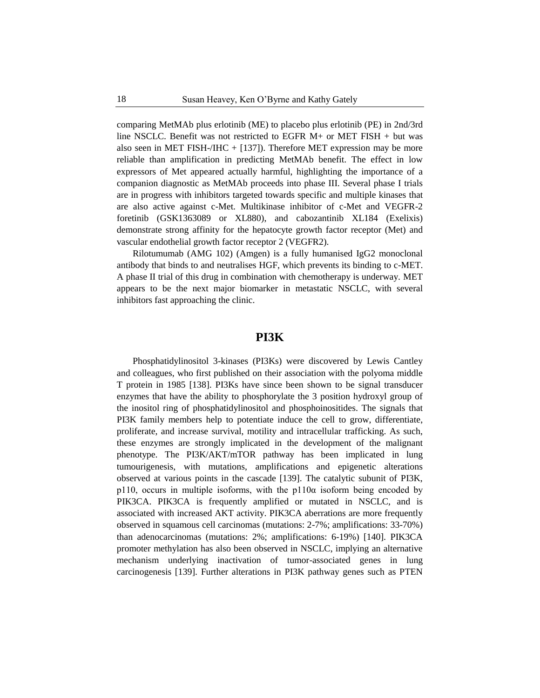comparing MetMAb plus erlotinib (ME) to placebo plus erlotinib (PE) in 2nd/3rd line NSCLC. Benefit was not restricted to EGFR M+ or MET FISH + but was also seen in MET FISH-/IHC  $+$  [137]). Therefore MET expression may be more reliable than amplification in predicting MetMAb benefit. The effect in low expressors of Met appeared actually harmful, highlighting the importance of a companion diagnostic as MetMAb proceeds into phase III. Several phase I trials are in progress with inhibitors targeted towards specific and multiple kinases that are also active against c-Met. Multikinase inhibitor of c-Met and VEGFR-2 foretinib (GSK1363089 or XL880), and cabozantinib XL184 (Exelixis) demonstrate strong affinity for the hepatocyte growth factor receptor (Met) and vascular endothelial growth factor receptor 2 (VEGFR2).

Rilotumumab (AMG 102) (Amgen) is a fully humanised IgG2 monoclonal antibody that binds to and neutralises HGF, which prevents its binding to c-MET. A phase II trial of this drug in combination with chemotherapy is underway. MET appears to be the next major biomarker in metastatic NSCLC, with several inhibitors fast approaching the clinic.

### **PI3K**

Phosphatidylinositol 3-kinases (PI3Ks) were discovered by Lewis Cantley and colleagues, who first published on their association with the polyoma middle T protein in 1985 [138]. PI3Ks have since been shown to be signal transducer enzymes that have the ability to phosphorylate the 3 position hydroxyl group of the inositol ring of phosphatidylinositol and phosphoinositides. The signals that PI3K family members help to potentiate induce the cell to grow, differentiate, proliferate, and increase survival, motility and intracellular trafficking. As such, these enzymes are strongly implicated in the development of the malignant phenotype. The PI3K/AKT/mTOR pathway has been implicated in lung tumourigenesis, with mutations, amplifications and epigenetic alterations observed at various points in the cascade [139]. The catalytic subunit of PI3K, p110, occurs in multiple isoforms, with the p110α isoform being encoded by PIK3CA. PIK3CA is frequently amplified or mutated in NSCLC, and is associated with increased AKT activity. PIK3CA aberrations are more frequently observed in squamous cell carcinomas (mutations: 2-7%; amplifications: 33-70%) than adenocarcinomas (mutations: 2%; amplifications: 6-19%) [140]. PIK3CA promoter methylation has also been observed in NSCLC, implying an alternative mechanism underlying inactivation of tumor-associated genes in lung carcinogenesis [139]. Further alterations in PI3K pathway genes such as PTEN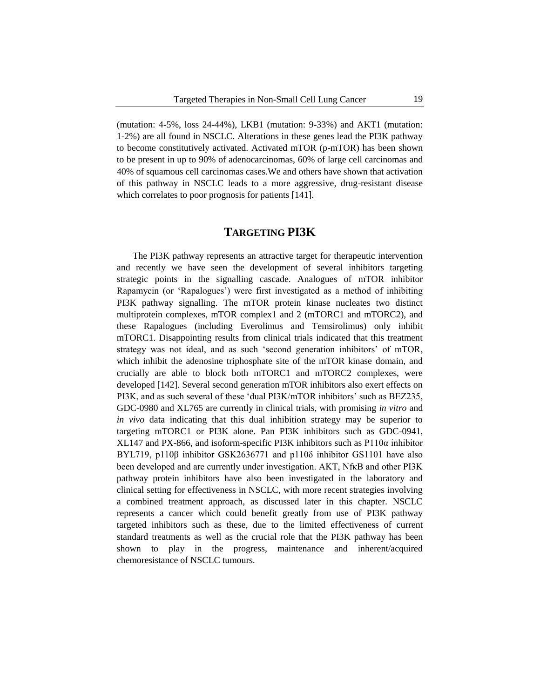(mutation: 4-5%, loss 24-44%), LKB1 (mutation: 9-33%) and AKT1 (mutation: 1-2%) are all found in NSCLC. Alterations in these genes lead the PI3K pathway to become constitutively activated. Activated mTOR (p-mTOR) has been shown to be present in up to 90% of adenocarcinomas, 60% of large cell carcinomas and 40% of squamous cell carcinomas cases.We and others have shown that activation of this pathway in NSCLC leads to a more aggressive, drug-resistant disease which correlates to poor prognosis for patients [141].

## **TARGETING PI3K**

The PI3K pathway represents an attractive target for therapeutic intervention and recently we have seen the development of several inhibitors targeting strategic points in the signalling cascade. Analogues of mTOR inhibitor Rapamycin (or 'Rapalogues') were first investigated as a method of inhibiting PI3K pathway signalling. The mTOR protein kinase nucleates two distinct multiprotein complexes, mTOR complex1 and 2 (mTORC1 and mTORC2), and these Rapalogues (including Everolimus and Temsirolimus) only inhibit mTORC1. Disappointing results from clinical trials indicated that this treatment strategy was not ideal, and as such 'second generation inhibitors' of mTOR, which inhibit the adenosine triphosphate site of the mTOR kinase domain, and crucially are able to block both mTORC1 and mTORC2 complexes, were developed [142]. Several second generation mTOR inhibitors also exert effects on PI3K, and as such several of these 'dual PI3K/mTOR inhibitors' such as BEZ235, GDC-0980 and XL765 are currently in clinical trials, with promising *in vitro* and *in vivo* data indicating that this dual inhibition strategy may be superior to targeting mTORC1 or PI3K alone. Pan PI3K inhibitors such as GDC-0941, XL147 and PX-866, and isoform-specific PI3K inhibitors such as P110α inhibitor BYL719, p110β inhibitor GSK2636771 and p110δ inhibitor GS1101 have also been developed and are currently under investigation. AKT, Nf<sub>K</sub>B and other PI3K pathway protein inhibitors have also been investigated in the laboratory and clinical setting for effectiveness in NSCLC, with more recent strategies involving a combined treatment approach, as discussed later in this chapter. NSCLC represents a cancer which could benefit greatly from use of PI3K pathway targeted inhibitors such as these, due to the limited effectiveness of current standard treatments as well as the crucial role that the PI3K pathway has been shown to play in the progress, maintenance and inherent/acquired chemoresistance of NSCLC tumours.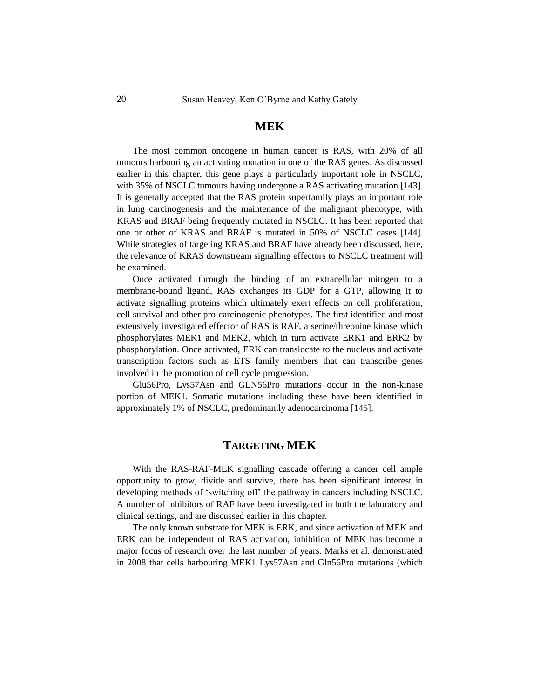#### **MEK**

The most common oncogene in human cancer is RAS, with 20% of all tumours harbouring an activating mutation in one of the RAS genes. As discussed earlier in this chapter, this gene plays a particularly important role in NSCLC, with 35% of NSCLC tumours having undergone a RAS activating mutation [143]. It is generally accepted that the RAS protein superfamily plays an important role in lung carcinogenesis and the maintenance of the malignant phenotype, with KRAS and BRAF being frequently mutated in NSCLC. It has been reported that one or other of KRAS and BRAF is mutated in 50% of NSCLC cases [144]. While strategies of targeting KRAS and BRAF have already been discussed, here, the relevance of KRAS downstream signalling effectors to NSCLC treatment will be examined.

Once activated through the binding of an extracellular mitogen to a membrane-bound ligand, RAS exchanges its GDP for a GTP, allowing it to activate signalling proteins which ultimately exert effects on cell proliferation, cell survival and other pro-carcinogenic phenotypes. The first identified and most extensively investigated effector of RAS is RAF, a serine/threonine kinase which phosphorylates MEK1 and MEK2, which in turn activate ERK1 and ERK2 by phosphorylation. Once activated, ERK can translocate to the nucleus and activate transcription factors such as ETS family members that can transcribe genes involved in the promotion of cell cycle progression.

Glu56Pro, Lys57Asn and GLN56Pro mutations occur in the non-kinase portion of MEK1. Somatic mutations including these have been identified in approximately 1% of NSCLC, predominantly adenocarcinoma [145].

# **TARGETING MEK**

With the RAS-RAF-MEK signalling cascade offering a cancer cell ample opportunity to grow, divide and survive, there has been significant interest in developing methods of 'switching off' the pathway in cancers including NSCLC. A number of inhibitors of RAF have been investigated in both the laboratory and clinical settings, and are discussed earlier in this chapter.

The only known substrate for MEK is ERK, and since activation of MEK and ERK can be independent of RAS activation, inhibition of MEK has become a major focus of research over the last number of years. Marks et al. demonstrated in 2008 that cells harbouring MEK1 Lys57Asn and Gln56Pro mutations (which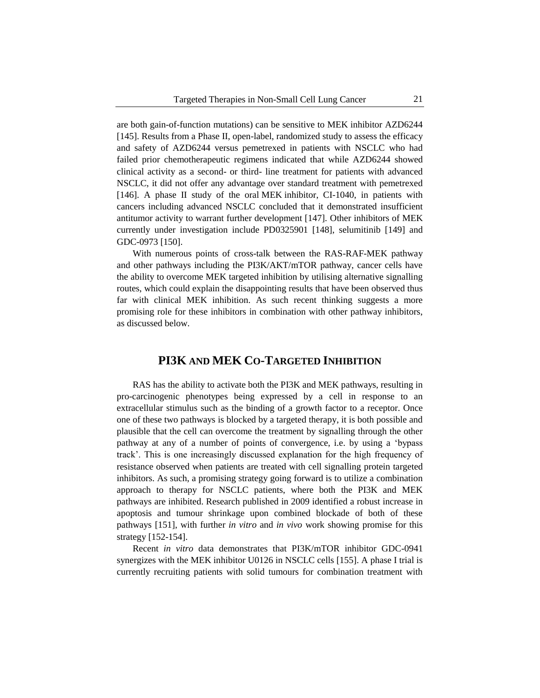are both gain-of-function mutations) can be sensitive to MEK inhibitor AZD6244 [145]. Results from a Phase II, open-label, randomized study to assess the efficacy and safety of AZD6244 versus pemetrexed in patients with NSCLC who had failed prior chemotherapeutic regimens indicated that while AZD6244 showed clinical activity as a second- or third- line treatment for patients with advanced NSCLC, it did not offer any advantage over standard treatment with pemetrexed [146]. A phase II study of the oral MEK inhibitor, CI-1040, in patients with cancers including advanced NSCLC concluded that it demonstrated insufficient antitumor activity to warrant further development [147]. Other inhibitors of MEK currently under investigation include PD0325901 [148], selumitinib [149] and GDC-0973 [150].

With numerous points of cross-talk between the RAS-RAF-MEK pathway and other pathways including the PI3K/AKT/mTOR pathway, cancer cells have the ability to overcome MEK targeted inhibition by utilising alternative signalling routes, which could explain the disappointing results that have been observed thus far with clinical MEK inhibition. As such recent thinking suggests a more promising role for these inhibitors in combination with other pathway inhibitors, as discussed below.

# **PI3K AND MEK CO-TARGETED INHIBITION**

RAS has the ability to activate both the PI3K and MEK pathways, resulting in pro-carcinogenic phenotypes being expressed by a cell in response to an extracellular stimulus such as the binding of a growth factor to a receptor. Once one of these two pathways is blocked by a targeted therapy, it is both possible and plausible that the cell can overcome the treatment by signalling through the other pathway at any of a number of points of convergence, i.e. by using a 'bypass track'. This is one increasingly discussed explanation for the high frequency of resistance observed when patients are treated with cell signalling protein targeted inhibitors. As such, a promising strategy going forward is to utilize a combination approach to therapy for NSCLC patients, where both the PI3K and MEK pathways are inhibited. Research published in 2009 identified a robust increase in apoptosis and tumour shrinkage upon combined blockade of both of these pathways [151], with further *in vitro* and *in vivo* work showing promise for this strategy [152-154].

Recent *in vitro* data demonstrates that PI3K/mTOR inhibitor GDC-0941 synergizes with the MEK inhibitor U0126 in NSCLC cells [155]. A phase I trial is currently recruiting patients with solid tumours for combination treatment with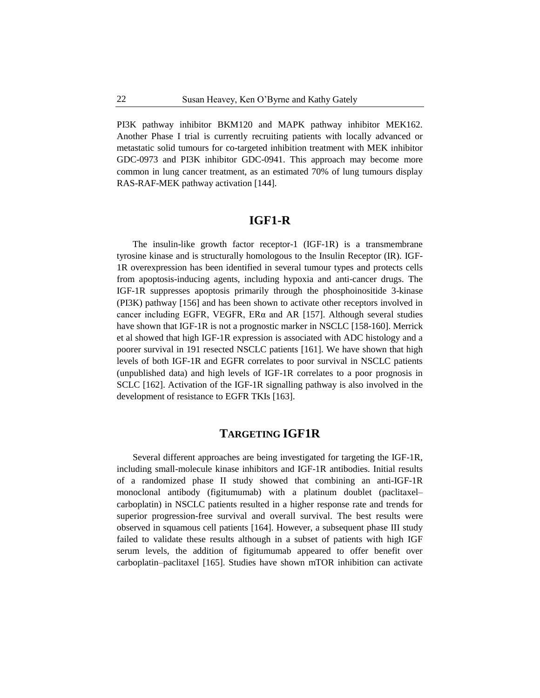PI3K pathway inhibitor BKM120 and MAPK pathway inhibitor MEK162. Another Phase I trial is currently recruiting patients with locally advanced or metastatic solid tumours for co-targeted inhibition treatment with MEK inhibitor GDC-0973 and PI3K inhibitor GDC-0941. This approach may become more common in lung cancer treatment, as an estimated 70% of lung tumours display RAS-RAF-MEK pathway activation [144].

# **IGF1-R**

The insulin-like growth factor receptor-1 (IGF-1R) is a transmembrane tyrosine kinase and is structurally homologous to the Insulin Receptor (IR). IGF-1R overexpression has been identified in several tumour types and protects cells from apoptosis-inducing agents, including hypoxia and anti-cancer drugs. The IGF-1R suppresses apoptosis primarily through the phosphoinositide 3-kinase (PI3K) pathway [156] and has been shown to activate other receptors involved in cancer including EGFR, VEGFR, ERα and AR [157]. Although several studies have shown that IGF-1R is not a prognostic marker in NSCLC [158-160]. Merrick et al showed that high IGF-1R expression is associated with ADC histology and a poorer survival in 191 resected NSCLC patients [161]. We have shown that high levels of both IGF-1R and EGFR correlates to poor survival in NSCLC patients (unpublished data) and high levels of IGF-1R correlates to a poor prognosis in SCLC [162]. Activation of the IGF-1R signalling pathway is also involved in the development of resistance to EGFR TKIs [163].

## **TARGETING IGF1R**

Several different approaches are being investigated for targeting the IGF-1R, including small-molecule kinase inhibitors and IGF-1R antibodies. Initial results of a randomized phase II study showed that combining an anti-IGF-1R monoclonal antibody (figitumumab) with a platinum doublet (paclitaxel– carboplatin) in NSCLC patients resulted in a higher response rate and trends for superior progression-free survival and overall survival. The best results were observed in squamous cell patients [164]. However, a subsequent phase III study failed to validate these results although in a subset of patients with high IGF serum levels, the addition of figitumumab appeared to offer benefit over carboplatin–paclitaxel [165]. Studies have shown mTOR inhibition can activate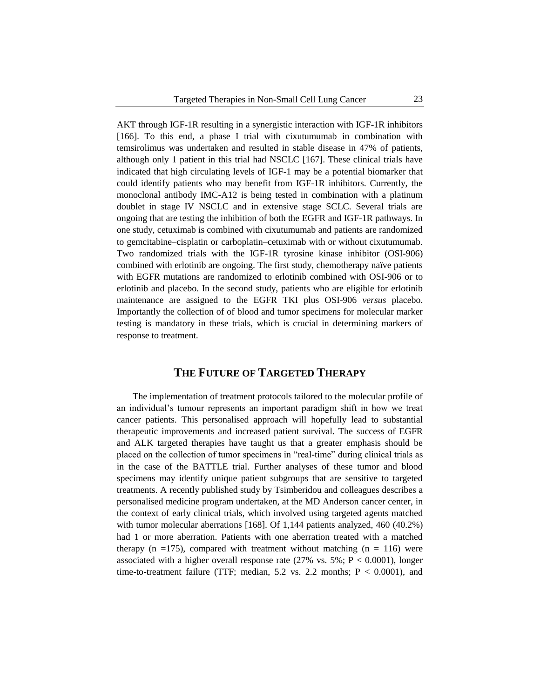AKT through IGF-1R resulting in a synergistic interaction with IGF-1R inhibitors [166]. To this end, a phase I trial with cixutumumab in combination with temsirolimus was undertaken and resulted in stable disease in 47% of patients, although only 1 patient in this trial had NSCLC [167]. These clinical trials have indicated that high circulating levels of IGF-1 may be a potential biomarker that could identify patients who may benefit from IGF-1R inhibitors. Currently, the monoclonal antibody IMC-A12 is being tested in combination with a platinum doublet in stage IV NSCLC and in extensive stage SCLC. Several trials are ongoing that are testing the inhibition of both the EGFR and IGF-1R pathways. In one study, cetuximab is combined with cixutumumab and patients are randomized to gemcitabine–cisplatin or carboplatin–cetuximab with or without cixutumumab. Two randomized trials with the IGF-1R tyrosine kinase inhibitor (OSI-906) combined with erlotinib are ongoing. The first study, chemotherapy naïve patients with EGFR mutations are randomized to erlotinib combined with OSI-906 or to erlotinib and placebo. In the second study, patients who are eligible for erlotinib maintenance are assigned to the EGFR TKI plus OSI-906 *versus* placebo. Importantly the collection of of blood and tumor specimens for molecular marker testing is mandatory in these trials, which is crucial in determining markers of response to treatment.

## **THE FUTURE OF TARGETED THERAPY**

The implementation of treatment protocols tailored to the molecular profile of an individual's tumour represents an important paradigm shift in how we treat cancer patients. This personalised approach will hopefully lead to substantial therapeutic improvements and increased patient survival. The success of EGFR and ALK targeted therapies have taught us that a greater emphasis should be placed on the collection of tumor specimens in "real-time" during clinical trials as in the case of the BATTLE trial. Further analyses of these tumor and blood specimens may identify unique patient subgroups that are sensitive to targeted treatments. A recently published study by Tsimberidou and colleagues describes a personalised medicine program undertaken, at the MD Anderson cancer center, in the context of early clinical trials, which involved using targeted agents matched with tumor molecular aberrations [168]. Of 1,144 patients analyzed, 460 (40.2%) had 1 or more aberration. Patients with one aberration treated with a matched therapy (n =175), compared with treatment without matching (n = 116) were associated with a higher overall response rate  $(27\% \text{ vs. } 5\%; P < 0.0001)$ , longer time-to-treatment failure (TTF; median, 5.2 vs. 2.2 months;  $P < 0.0001$ ), and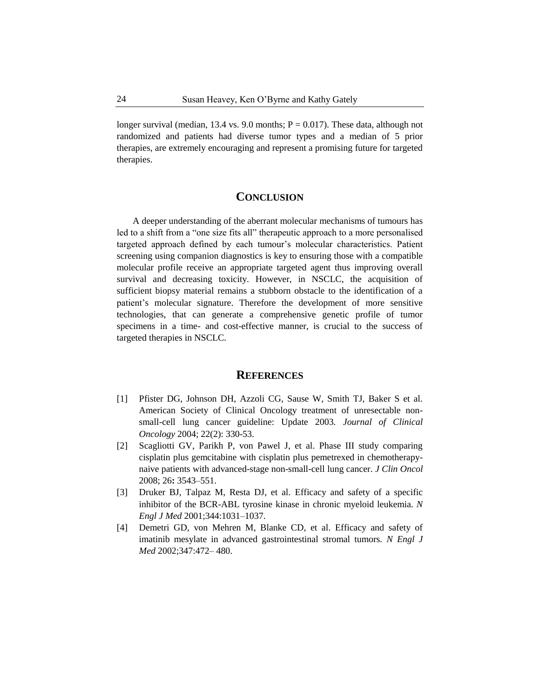longer survival (median, 13.4 vs. 9.0 months;  $P = 0.017$ ). These data, although not randomized and patients had diverse tumor types and a median of 5 prior therapies, are extremely encouraging and represent a promising future for targeted therapies.

#### **CONCLUSION**

A deeper understanding of the aberrant molecular mechanisms of tumours has led to a shift from a "one size fits all" therapeutic approach to a more personalised targeted approach defined by each tumour's molecular characteristics. Patient screening using companion diagnostics is key to ensuring those with a compatible molecular profile receive an appropriate targeted agent thus improving overall survival and decreasing toxicity. However, in NSCLC, the acquisition of sufficient biopsy material remains a stubborn obstacle to the identification of a patient's molecular signature. Therefore the development of more sensitive technologies, that can generate a comprehensive genetic profile of tumor specimens in a time- and cost-effective manner, is crucial to the success of targeted therapies in NSCLC.

#### **REFERENCES**

- [1] Pfister DG, Johnson DH, Azzoli CG, Sause W, Smith TJ, Baker S et al. American Society of Clinical Oncology treatment of unresectable nonsmall-cell lung cancer guideline: Update 2003*. Journal of Clinical Oncology* 2004; 22(2): 330-53.
- [2] Scagliotti GV, Parikh P, von Pawel J, et al. Phase III study comparing cisplatin plus gemcitabine with cisplatin plus pemetrexed in chemotherapynaive patients with advanced-stage non-small-cell lung cancer. *J Clin Oncol*  2008; 26**:** 3543–551.
- [3] Druker BJ, Talpaz M, Resta DJ, et al. Efficacy and safety of a specific inhibitor of the BCR-ABL tyrosine kinase in chronic myeloid leukemia. *N Engl J Med* 2001;344:1031–1037.
- [4] Demetri GD, von Mehren M, Blanke CD, et al. Efficacy and safety of imatinib mesylate in advanced gastrointestinal stromal tumors*. N Engl J Med* 2002;347:472– 480.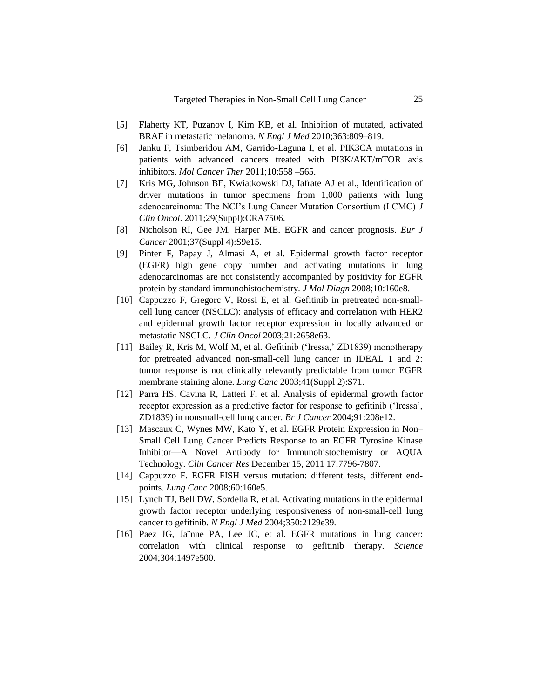- [5] Flaherty KT, Puzanov I, Kim KB, et al. Inhibition of mutated, activated BRAF in metastatic melanoma. *N Engl J Med* 2010;363:809–819.
- [6] Janku F, Tsimberidou AM, Garrido-Laguna I, et al. PIK3CA mutations in patients with advanced cancers treated with PI3K/AKT/mTOR axis inhibitors. *Mol Cancer Ther* 2011;10:558 –565.
- [7] Kris MG, Johnson BE, Kwiatkowski DJ, Iafrate AJ et al., Identification of driver mutations in tumor specimens from 1,000 patients with lung adenocarcinoma: The NCI's Lung Cancer Mutation Consortium (LCMC) *J Clin Oncol*. 2011;29(Suppl):CRA7506.
- [8] Nicholson RI, Gee JM, Harper ME. EGFR and cancer prognosis. *Eur J Cancer* 2001;37(Suppl 4):S9e15.
- [9] Pinter F, Papay J, Almasi A, et al. Epidermal growth factor receptor (EGFR) high gene copy number and activating mutations in lung adenocarcinomas are not consistently accompanied by positivity for EGFR protein by standard immunohistochemistry. *J Mol Diagn* 2008;10:160e8.
- [10] Cappuzzo F, Gregorc V, Rossi E, et al. Gefitinib in pretreated non-smallcell lung cancer (NSCLC): analysis of efficacy and correlation with HER2 and epidermal growth factor receptor expression in locally advanced or metastatic NSCLC. *J Clin Oncol* 2003;21:2658e63.
- [11] Bailey R, Kris M, Wolf M, et al. Gefitinib ('Iressa,' ZD1839) monotherapy for pretreated advanced non-small-cell lung cancer in IDEAL 1 and 2: tumor response is not clinically relevantly predictable from tumor EGFR membrane staining alone. *Lung Canc* 2003;41(Suppl 2):S71.
- [12] Parra HS, Cavina R, Latteri F, et al. Analysis of epidermal growth factor receptor expression as a predictive factor for response to gefitinib ('Iressa', ZD1839) in nonsmall-cell lung cancer. *Br J Cancer* 2004;91:208e12.
- [13] Mascaux C, Wynes MW, Kato Y, et al. EGFR Protein Expression in Non– Small Cell Lung Cancer Predicts Response to an EGFR Tyrosine Kinase Inhibitor—A Novel Antibody for Immunohistochemistry or AQUA Technology. *Clin Cancer Res* December 15, 2011 17:7796-7807.
- [14] Cappuzzo F. EGFR FISH versus mutation: different tests, different endpoints. *Lung Canc* 2008;60:160e5.
- [15] Lynch TJ, Bell DW, Sordella R, et al. Activating mutations in the epidermal growth factor receptor underlying responsiveness of non-small-cell lung cancer to gefitinib. *N Engl J Med* 2004;350:2129e39.
- [16] Paez JG, Ja nne PA, Lee JC, et al. EGFR mutations in lung cancer: correlation with clinical response to gefitinib therapy. *Science* 2004;304:1497e500.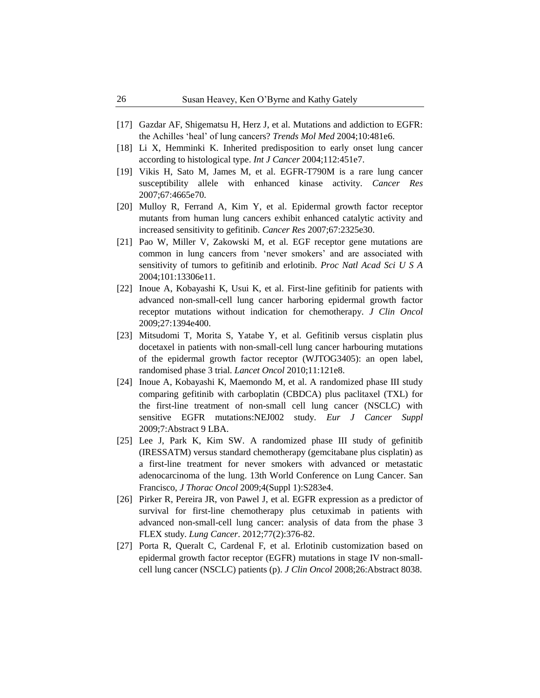- [17] Gazdar AF, Shigematsu H, Herz J, et al. Mutations and addiction to EGFR: the Achilles 'heal' of lung cancers? *Trends Mol Med* 2004;10:481e6.
- [18] Li X, Hemminki K. Inherited predisposition to early onset lung cancer according to histological type. *Int J Cancer* 2004;112:451e7.
- [19] Vikis H, Sato M, James M, et al. EGFR-T790M is a rare lung cancer susceptibility allele with enhanced kinase activity. *Cancer Res* 2007;67:4665e70.
- [20] Mulloy R, Ferrand A, Kim Y, et al. Epidermal growth factor receptor mutants from human lung cancers exhibit enhanced catalytic activity and increased sensitivity to gefitinib. *Cancer Res* 2007;67:2325e30.
- [21] Pao W, Miller V, Zakowski M, et al. EGF receptor gene mutations are common in lung cancers from 'never smokers' and are associated with sensitivity of tumors to gefitinib and erlotinib. *Proc Natl Acad Sci U S A* 2004;101:13306e11.
- [22] Inoue A, Kobayashi K, Usui K, et al. First-line gefitinib for patients with advanced non-small-cell lung cancer harboring epidermal growth factor receptor mutations without indication for chemotherapy. *J Clin Oncol* 2009;27:1394e400.
- [23] Mitsudomi T, Morita S, Yatabe Y, et al. Gefitinib versus cisplatin plus docetaxel in patients with non-small-cell lung cancer harbouring mutations of the epidermal growth factor receptor (WJTOG3405): an open label, randomised phase 3 trial. *Lancet Oncol* 2010;11:121e8.
- [24] Inoue A, Kobayashi K, Maemondo M, et al. A randomized phase III study comparing gefitinib with carboplatin (CBDCA) plus paclitaxel (TXL) for the first-line treatment of non-small cell lung cancer (NSCLC) with sensitive EGFR mutations:NEJ002 study. *Eur J Cancer Suppl* 2009;7:Abstract 9 LBA.
- [25] Lee J, Park K, Kim SW. A randomized phase III study of gefinitib (IRESSATM) versus standard chemotherapy (gemcitabane plus cisplatin) as a first-line treatment for never smokers with advanced or metastatic adenocarcinoma of the lung. 13th World Conference on Lung Cancer. San Francisco, *J Thorac Oncol* 2009;4(Suppl 1):S283e4.
- [26] Pirker R, Pereira JR, von Pawel J, et al. [EGFR expression as a predictor of](http://www.ncbi.nlm.nih.gov/pubmed/22056021)  [survival for first-line chemotherapy plus cetuximab in patients with](http://www.ncbi.nlm.nih.gov/pubmed/22056021)  [advanced non-small-cell lung cancer: analysis of data from the phase 3](http://www.ncbi.nlm.nih.gov/pubmed/22056021)  [FLEX study.](http://www.ncbi.nlm.nih.gov/pubmed/22056021) *Lung Cancer*. 2012;77(2):376-82.
- [27] Porta R, Queralt C, Cardenal F, et al. Erlotinib customization based on epidermal growth factor receptor (EGFR) mutations in stage IV non-smallcell lung cancer (NSCLC) patients (p). *J Clin Oncol* 2008;26:Abstract 8038.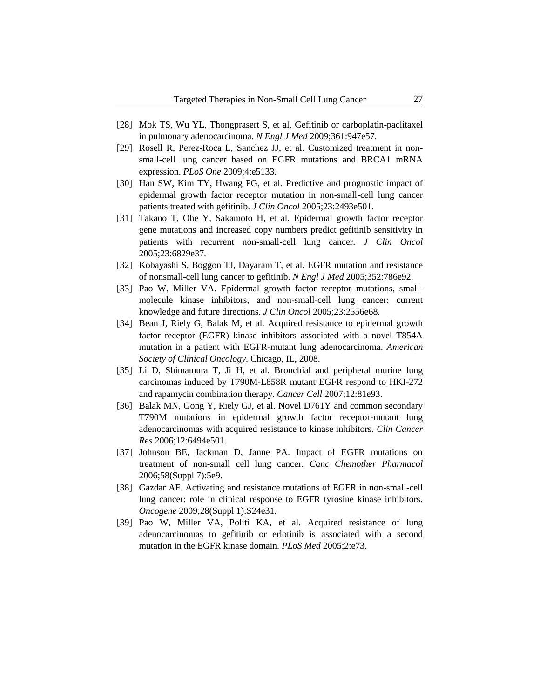- [28] Mok TS, Wu YL, Thongprasert S, et al. Gefitinib or carboplatin-paclitaxel in pulmonary adenocarcinoma. *N Engl J Med* 2009;361:947e57.
- [29] Rosell R, Perez-Roca L, Sanchez JJ, et al. Customized treatment in nonsmall-cell lung cancer based on EGFR mutations and BRCA1 mRNA expression. *PLoS One* 2009;4:e5133.
- [30] Han SW, Kim TY, Hwang PG, et al. Predictive and prognostic impact of epidermal growth factor receptor mutation in non-small-cell lung cancer patients treated with gefitinib. *J Clin Oncol* 2005;23:2493e501.
- [31] Takano T, Ohe Y, Sakamoto H, et al. Epidermal growth factor receptor gene mutations and increased copy numbers predict gefitinib sensitivity in patients with recurrent non-small-cell lung cancer. *J Clin Oncol* 2005;23:6829e37.
- [32] Kobayashi S, Boggon TJ, Dayaram T, et al. EGFR mutation and resistance of nonsmall-cell lung cancer to gefitinib. *N Engl J Med* 2005;352:786e92.
- [33] Pao W, Miller VA. Epidermal growth factor receptor mutations, smallmolecule kinase inhibitors, and non-small-cell lung cancer: current knowledge and future directions. *J Clin Oncol* 2005;23:2556e68.
- [34] Bean J, Riely G, Balak M, et al. Acquired resistance to epidermal growth factor receptor (EGFR) kinase inhibitors associated with a novel T854A mutation in a patient with EGFR-mutant lung adenocarcinoma. *American Society of Clinical Oncology*. Chicago, IL, 2008.
- [35] Li D, Shimamura T, Ji H, et al. Bronchial and peripheral murine lung carcinomas induced by T790M-L858R mutant EGFR respond to HKI-272 and rapamycin combination therapy. *Cancer Cell* 2007;12:81e93.
- [36] Balak MN, Gong Y, Riely GJ, et al. Novel D761Y and common secondary T790M mutations in epidermal growth factor receptor-mutant lung adenocarcinomas with acquired resistance to kinase inhibitors. *Clin Cancer Res* 2006;12:6494e501.
- [37] Johnson BE, Jackman D, Janne PA. Impact of EGFR mutations on treatment of non-small cell lung cancer. *Canc Chemother Pharmacol* 2006;58(Suppl 7):5e9.
- [38] Gazdar AF. Activating and resistance mutations of EGFR in non-small-cell lung cancer: role in clinical response to EGFR tyrosine kinase inhibitors. *Oncogene* 2009;28(Suppl 1):S24e31.
- [39] Pao W, Miller VA, Politi KA, et al. Acquired resistance of lung adenocarcinomas to gefitinib or erlotinib is associated with a second mutation in the EGFR kinase domain. *PLoS Med* 2005;2:e73.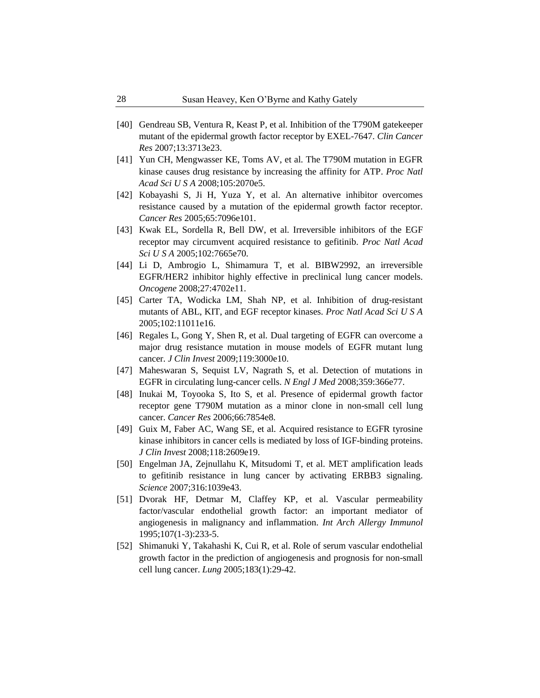- [40] Gendreau SB, Ventura R, Keast P, et al. Inhibition of the T790M gatekeeper mutant of the epidermal growth factor receptor by EXEL-7647. *Clin Cancer Res* 2007;13:3713e23.
- [41] Yun CH, Mengwasser KE, Toms AV, et al. The T790M mutation in EGFR kinase causes drug resistance by increasing the affinity for ATP. *Proc Natl Acad Sci U S A* 2008;105:2070e5.
- [42] Kobayashi S, Ji H, Yuza Y, et al. An alternative inhibitor overcomes resistance caused by a mutation of the epidermal growth factor receptor. *Cancer Res* 2005;65:7096e101.
- [43] Kwak EL, Sordella R, Bell DW, et al. Irreversible inhibitors of the EGF receptor may circumvent acquired resistance to gefitinib. *Proc Natl Acad Sci U S A* 2005;102:7665e70.
- [44] Li D, Ambrogio L, Shimamura T, et al. BIBW2992, an irreversible EGFR/HER2 inhibitor highly effective in preclinical lung cancer models. *Oncogene* 2008;27:4702e11.
- [45] Carter TA, Wodicka LM, Shah NP, et al. Inhibition of drug-resistant mutants of ABL, KIT, and EGF receptor kinases. *Proc Natl Acad Sci U S A* 2005;102:11011e16.
- [46] Regales L, Gong Y, Shen R, et al. Dual targeting of EGFR can overcome a major drug resistance mutation in mouse models of EGFR mutant lung cancer. *J Clin Invest* 2009;119:3000e10.
- [47] Maheswaran S, Sequist LV, Nagrath S, et al. Detection of mutations in EGFR in circulating lung-cancer cells. *N Engl J Med* 2008;359:366e77.
- [48] Inukai M, Toyooka S, Ito S, et al. Presence of epidermal growth factor receptor gene T790M mutation as a minor clone in non-small cell lung cancer. *Cancer Res* 2006;66:7854e8.
- [49] Guix M, Faber AC, Wang SE, et al. Acquired resistance to EGFR tyrosine kinase inhibitors in cancer cells is mediated by loss of IGF-binding proteins. *J Clin Invest* 2008;118:2609e19.
- [50] Engelman JA, Zejnullahu K, Mitsudomi T, et al. MET amplification leads to gefitinib resistance in lung cancer by activating ERBB3 signaling. *Science* 2007;316:1039e43.
- [51] Dvorak HF, Detmar M, Claffey KP, et al. Vascular permeability factor/vascular endothelial growth factor: an important mediator of angiogenesis in malignancy and inflammation. *Int Arch Allergy Immunol* 1995;107(1-3):233-5.
- [52] Shimanuki Y, Takahashi K, Cui R, et al. Role of serum vascular endothelial growth factor in the prediction of angiogenesis and prognosis for non-small cell lung cancer. *Lung* 2005;183(1):29-42.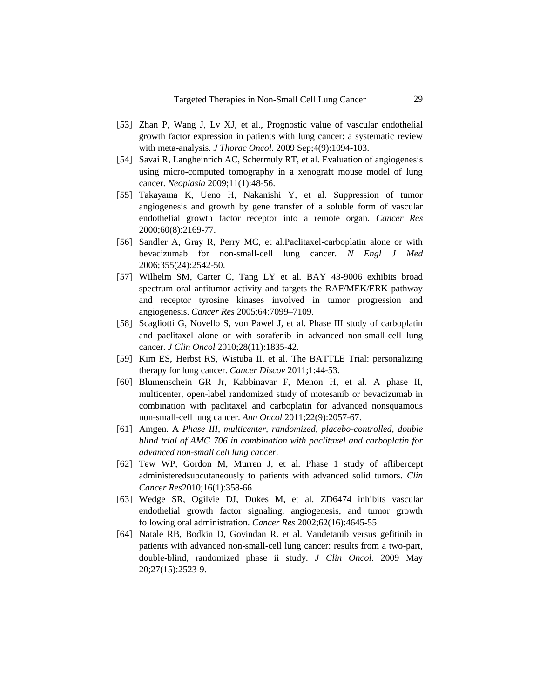- [53] [Zhan P,](http://www.ncbi.nlm.nih.gov/pubmed?term=Zhan%20P%5BAuthor%5D&cauthor=true&cauthor_uid=19687765) [Wang J,](http://www.ncbi.nlm.nih.gov/pubmed?term=Wang%20J%5BAuthor%5D&cauthor=true&cauthor_uid=19687765) [Lv XJ,](http://www.ncbi.nlm.nih.gov/pubmed?term=Lv%20XJ%5BAuthor%5D&cauthor=true&cauthor_uid=19687765) et al., Prognostic value of vascular endothelial growth factor expression in patients with lung cancer: a systematic review with meta-analysis. *[J Thorac Oncol.](http://www.ncbi.nlm.nih.gov/pubmed/19687765)* 2009 Sep;4(9):1094-103.
- [54] Savai R, Langheinrich AC, Schermuly RT, et al. Evaluation of angiogenesis using micro-computed tomography in a xenograft mouse model of lung cancer. *Neoplasia* 2009;11(1):48-56.
- [55] Takayama K, Ueno H, Nakanishi Y, et al. Suppression of tumor angiogenesis and growth by gene transfer of a soluble form of vascular endothelial growth factor receptor into a remote organ. *Cancer Res* 2000;60(8):2169-77.
- [56] Sandler A, Gray R, Perry MC, et al. Paclitaxel-carboplatin alone or with bevacizumab for non-small-cell lung cancer. *N Engl J Med* 2006;355(24):2542-50.
- [57] Wilhelm SM, Carter C, Tang LY et al. BAY 43-9006 exhibits broad spectrum oral antitumor activity and targets the RAF/MEK/ERK pathway and receptor tyrosine kinases involved in tumor progression and angiogenesis. *Cancer Res* 2005;64:7099–7109.
- [58] Scagliotti G, Novello S, von Pawel J, et al. Phase III study of carboplatin and paclitaxel alone or with sorafenib in advanced non-small-cell lung cancer. *J Clin Oncol* 2010;28(11):1835-42.
- [59] Kim ES, Herbst RS, Wistuba II, et al. The BATTLE Trial: personalizing therapy for lung cancer. *Cancer Discov* 2011;1:44-53.
- [60] Blumenschein GR Jr, Kabbinavar F, Menon H, et al. A phase II, multicenter, open-label randomized study of motesanib or bevacizumab in combination with paclitaxel and carboplatin for advanced nonsquamous non-small-cell lung cancer. *Ann Oncol* 2011;22(9):2057-67.
- [61] Amgen. A *Phase III, multicenter, randomized, placebo-controlled, double blind trial of AMG 706 in combination with paclitaxel and carboplatin for advanced non-small cell lung cancer*.
- [62] Tew WP, Gordon M, Murren J, et al. Phase 1 study of aflibercept administeredsubcutaneously to patients with advanced solid tumors. *Clin Cancer Res*2010;16(1):358-66.
- [63] Wedge SR, Ogilvie DJ, Dukes M, et al. ZD6474 inhibits vascular endothelial growth factor signaling, angiogenesis, and tumor growth following oral administration. *Cancer Res* 2002;62(16):4645-55
- [64] Natale RB, Bodkin D, Govindan R. et al. [Vandetanib](http://www.ncbi.nlm.nih.gov/pubmed/19332730) versus gefitinib in patients with advanced [non-small-cell lung cancer: results from a two-part,](http://www.ncbi.nlm.nih.gov/pubmed/19332730)  [double-blind, randomized phase ii study.](http://www.ncbi.nlm.nih.gov/pubmed/19332730) *J Clin Oncol*. 2009 May 20;27(15):2523-9.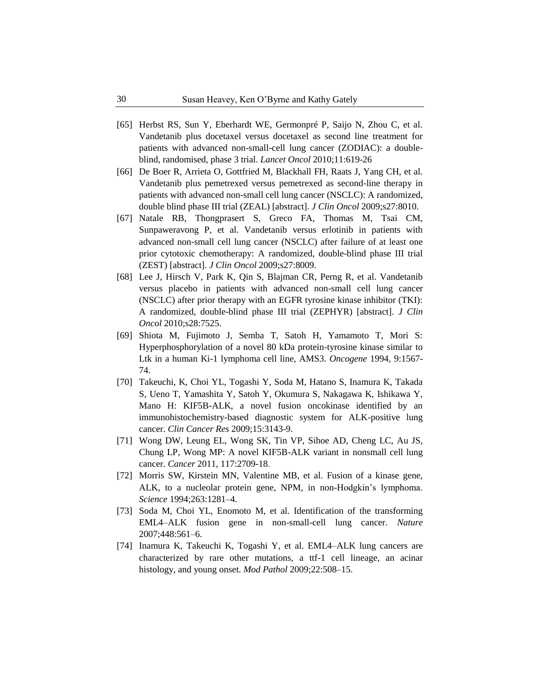- [65] Herbst RS, Sun Y, Eberhardt WE, Germonpré P, Saijo N, Zhou C, et al. Vandetanib plus docetaxel versus docetaxel as second line treatment for patients with advanced non-small-cell lung cancer (ZODIAC): a doubleblind, randomised, phase 3 trial. *Lancet Oncol* 2010;11:619-26
- [66] De Boer R, Arrieta O, Gottfried M, Blackhall FH, Raats J, Yang CH, et al. Vandetanib plus pemetrexed versus pemetrexed as second-line therapy in patients with advanced non-small cell lung cancer (NSCLC): A randomized, double blind phase III trial (ZEAL) [abstract]. *J Clin Oncol* 2009;s27:8010.
- [67] Natale RB, Thongprasert S, Greco FA, Thomas M, Tsai CM, Sunpaweravong P, et al. Vandetanib versus erlotinib in patients with advanced non-small cell lung cancer (NSCLC) after failure of at least one prior cytotoxic chemotherapy: A randomized, double-blind phase III trial (ZEST) [abstract]. *J Clin Oncol* 2009;s27:8009.
- [68] Lee J, Hirsch V, Park K, Qin S, Blajman CR, Perng R, et al. Vandetanib versus placebo in patients with advanced non-small cell lung cancer (NSCLC) after prior therapy with an EGFR tyrosine kinase inhibitor (TKI): A randomized, double-blind phase III trial (ZEPHYR) [abstract]. *J Clin Oncol* 2010;s28:7525.
- [69] Shiota M, Fujimoto J, Semba T, Satoh H, Yamamoto T, Mori S: Hyperphosphorylation of a novel 80 kDa protein-tyrosine kinase similar to Ltk in a human Ki-1 lymphoma cell line, AMS3. *Oncogene* 1994, 9:1567- 74.
- [70] Takeuchi, K, Choi YL, Togashi Y, Soda M, Hatano S, Inamura K, Takada S, Ueno T, Yamashita Y, Satoh Y, Okumura S, Nakagawa K, Ishikawa Y, Mano H: KIF5B-ALK, a novel fusion oncokinase identified by an immunohistochemistry-based diagnostic system for ALK-positive lung cancer. *Clin Cancer Res* 2009;15:3143-9.
- [71] Wong DW, Leung EL, Wong SK, Tin VP, Sihoe AD, Cheng LC, Au JS, Chung LP, Wong MP: A novel KIF5B-ALK variant in nonsmall cell lung cancer. *Cancer* 2011, 117:2709-18.
- [72] Morris SW, Kirstein MN, Valentine MB, et al. Fusion of a kinase gene, ALK, to a nucleolar protein gene, NPM, in non-Hodgkin's lymphoma. *Science* 1994;263:1281–4.
- [73] Soda M, Choi YL, Enomoto M, et al. Identification of the transforming EML4–ALK fusion gene in non-small-cell lung cancer. *Nature* 2007;448:561–6.
- [74] Inamura K, Takeuchi K, Togashi Y, et al. EML4–ALK lung cancers are characterized by rare other mutations, a ttf-1 cell lineage, an acinar histology, and young onset. *Mod Pathol* 2009;22:508–15.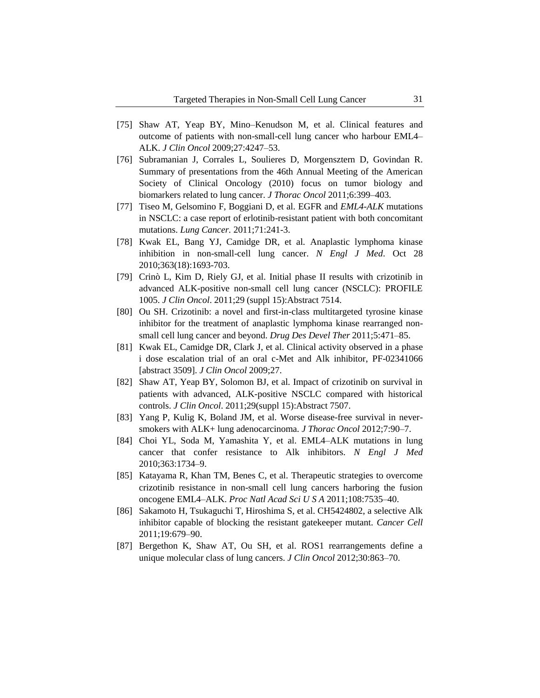- [75] Shaw AT, Yeap BY, Mino–Kenudson M, et al. Clinical features and outcome of patients with non-small-cell lung cancer who harbour EML4– ALK. *J Clin Oncol* 2009;27:4247–53.
- [76] Subramanian J, Corrales L, Soulieres D, Morgensztern D, Govindan R. Summary of presentations from the 46th Annual Meeting of the American Society of Clinical Oncology (2010) focus on tumor biology and biomarkers related to lung cancer. *J Thorac Oncol* 2011;6:399–403.
- [77] Tiseo M, Gelsomino F, Boggiani D, et al. EGFR and *EML4-ALK* mutations in NSCLC: a case report of erlotinib-resistant patient with both concomitant mutations. *Lung Cancer.* 2011;71:241-3.
- [78] Kwak EL, Bang YJ, Camidge DR, et al. Anaplastic lymphoma kinase inhibition in non-small-cell lung cancer. *N Engl J Med*. Oct 28 2010;363(18):1693-703.
- [79] Crinò L, Kim D, Riely GJ, et al. Initial phase II results with crizotinib in advanced ALK-positive non-small cell lung cancer (NSCLC): PROFILE 1005. *J Clin Oncol*. 2011;29 (suppl 15):Abstract 7514.
- [80] Ou SH. Crizotinib: a novel and first-in-class multitargeted tyrosine kinase inhibitor for the treatment of anaplastic lymphoma kinase rearranged nonsmall cell lung cancer and beyond. *Drug Des Devel Ther* 2011;5:471–85.
- [81] Kwak EL, Camidge DR, Clark J, et al. Clinical activity observed in a phase i dose escalation trial of an oral c-Met and Alk inhibitor, PF-02341066 [abstract 3509]. *J Clin Oncol* 2009;27.
- [82] Shaw AT, Yeap BY, Solomon BJ, et al. Impact of crizotinib on survival in patients with advanced, ALK-positive NSCLC compared with historical controls. *J Clin Oncol*. 2011;29(suppl 15):Abstract 7507.
- [83] Yang P, Kulig K, Boland JM, et al. Worse disease-free survival in neversmokers with ALK+ lung adenocarcinoma. *J Thorac Oncol* 2012;7:90–7.
- [84] Choi YL, Soda M, Yamashita Y, et al. EML4–ALK mutations in lung cancer that confer resistance to Alk inhibitors. *N Engl J Med* 2010;363:1734–9.
- [85] Katayama R, Khan TM, Benes C, et al. Therapeutic strategies to overcome crizotinib resistance in non-small cell lung cancers harboring the fusion oncogene EML4–ALK. *Proc Natl Acad Sci U S A* 2011;108:7535–40.
- [86] Sakamoto H, Tsukaguchi T, Hiroshima S, et al. CH5424802, a selective Alk inhibitor capable of blocking the resistant gatekeeper mutant. *Cancer Cell* 2011;19:679–90.
- [87] Bergethon K, Shaw AT, Ou SH, et al. ROS1 rearrangements define a unique molecular class of lung cancers. *J Clin Oncol* 2012;30:863–70.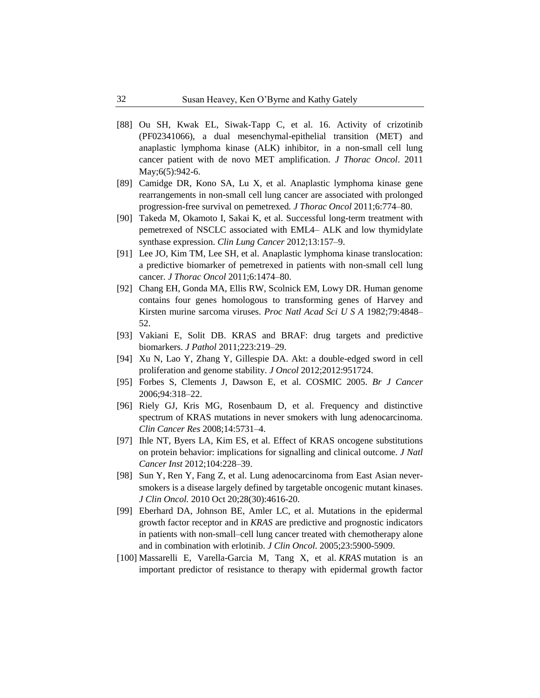- [88] Ou SH, Kwak EL, Siwak-Tapp C, et al. 16. [Activity of crizotinib](http://www.ncbi.nlm.nih.gov/pubmed/21623265)  [\(PF02341066\), a dual mesenchymal-epithelial transition \(MET\) and](http://www.ncbi.nlm.nih.gov/pubmed/21623265)  [anaplastic lymphoma kinase \(ALK\) inhibitor, in a non-small cell lung](http://www.ncbi.nlm.nih.gov/pubmed/21623265)  [cancer patient with de novo MET](http://www.ncbi.nlm.nih.gov/pubmed/21623265) amplification. *J Thorac Oncol*. 2011 May;6(5):942-6.
- [89] Camidge DR, Kono SA, Lu X, et al. Anaplastic lymphoma kinase gene rearrangements in non-small cell lung cancer are associated with prolonged progression-free survival on pemetrexed*. J Thorac Oncol* 2011;6:774–80.
- [90] Takeda M, Okamoto I, Sakai K, et al. Successful long-term treatment with pemetrexed of NSCLC associated with EML4– ALK and low thymidylate synthase expression. *Clin Lung Cancer* 2012;13:157–9.
- [91] Lee JO, Kim TM, Lee SH, et al. Anaplastic lymphoma kinase translocation: a predictive biomarker of pemetrexed in patients with non-small cell lung cancer. *J Thorac Oncol* 2011;6:1474–80.
- [92] Chang EH, Gonda MA, Ellis RW, Scolnick EM, Lowy DR. Human genome contains four genes homologous to transforming genes of Harvey and Kirsten murine sarcoma viruses. *Proc Natl Acad Sci U S A* 1982;79:4848– 52.
- [93] Vakiani E, Solit DB. KRAS and BRAF: drug targets and predictive biomarkers. *J Pathol* 2011;223:219–29.
- [94] Xu N, Lao Y, Zhang Y, Gillespie DA. Akt: a double-edged sword in cell proliferation and genome stability. *J Oncol* 2012;2012:951724.
- [95] Forbes S, Clements J, Dawson E, et al. COSMIC 2005. *Br J Cancer* 2006;94:318–22.
- [96] Riely GJ, Kris MG, Rosenbaum D, et al. Frequency and distinctive spectrum of KRAS mutations in never smokers with lung adenocarcinoma. *Clin Cancer Res* 2008;14:5731–4.
- [97] Ihle NT, Byers LA, Kim ES, et al. Effect of KRAS oncogene substitutions on protein behavior: implications for signalling and clinical outcome. *J Natl Cancer Inst* 2012;104:228–39.
- [98] [Sun](http://www.ncbi.nlm.nih.gov/pubmed?term=Sun%20Y%5BAuthor%5D&cauthor=true&cauthor_uid=20855837) Y, [Ren](http://www.ncbi.nlm.nih.gov/pubmed?term=Ren%20Y%5BAuthor%5D&cauthor=true&cauthor_uid=20855837) Y, [Fang](http://www.ncbi.nlm.nih.gov/pubmed?term=Fang%20Z%5BAuthor%5D&cauthor=true&cauthor_uid=20855837) Z, et al. Lung adenocarcinoma from East Asian neversmokers is a disease largely defined by targetable oncogenic mutant kinases. *J Clin [Oncol.](http://www.ncbi.nlm.nih.gov/pubmed/20855837)* 2010 Oct 20;28(30):4616-20.
- [99] Eberhard DA, Johnson BE, Amler LC, et al. Mutations in the epidermal growth factor receptor and in *KRAS* are predictive and prognostic indicators in patients with non-small–cell lung cancer treated with chemotherapy alone and in combination with erlotinib. *J Clin Oncol*. 2005;23:5900-5909.
- [100] Massarelli E, Varella-Garcia M, Tang X, et al. *KRAS* mutation is an important predictor of resistance to therapy with epidermal growth factor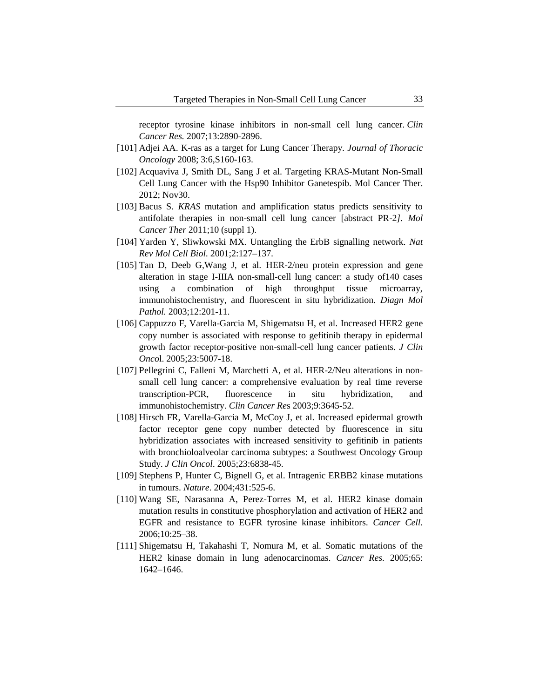receptor tyrosine kinase inhibitors in non-small cell lung cancer. *Clin Cancer Res.* 2007;13:2890-2896.

- [101] Adjei AA. K-ras as a target for Lung Cancer Therapy. *Journal of Thoracic Oncology* 2008; 3:6,S160-163.
- [102] [Acquaviva J,](http://www.ncbi.nlm.nih.gov/pubmed?term=Acquaviva%20J%5BAuthor%5D&cauthor=true&cauthor_uid=23012248) [Smith DL,](http://www.ncbi.nlm.nih.gov/pubmed?term=Smith%20DL%5BAuthor%5D&cauthor=true&cauthor_uid=23012248) [Sang J](http://www.ncbi.nlm.nih.gov/pubmed?term=Sang%20J%5BAuthor%5D&cauthor=true&cauthor_uid=23012248) et al. Targeting KRAS-Mutant Non-Small Cell Lung Cancer with the Hsp90 Inhibitor Ganetespib. [Mol Cancer](http://www.ncbi.nlm.nih.gov/pubmed/23012248) Ther. 2012; Nov30.
- [103] Bacus S. *KRAS* mutation and amplification status predicts sensitivity to antifolate therapies in non-small cell lung cancer [abstract PR-2*]. Mol Cancer Ther* 2011;10 (suppl 1).
- [104] Yarden Y, Sliwkowski MX. Untangling the ErbB signalling network. *Nat Rev Mol Cell Biol*. 2001;2:127–137.
- [105] Tan D, Deeb G,Wang J, et al. HER-2/neu protein expression and gene alteration in stage I-IIIA non-small-cell lung cancer: a study of140 cases using a combination of high throughput tissue microarray, immunohistochemistry, and fluorescent in situ hybridization. *Diagn Mol Pathol.* 2003;12:201-11.
- [106] Cappuzzo F, Varella-Garcia M, Shigematsu H, et al. Increased HER2 gene copy number is associated with response to gefitinib therapy in epidermal growth factor receptor-positive non-small-cell lung cancer patients. *J Clin Onco*l. 2005;23:5007-18.
- [107] Pellegrini C, Falleni M, Marchetti A, et al. HER-2/Neu alterations in nonsmall cell lung cancer: a comprehensive evaluation by real time reverse transcription-PCR, fluorescence in situ hybridization, and immunohistochemistry. *Clin Cancer Re*s 2003;9:3645-52.
- [108] Hirsch FR, Varella-Garcia M, McCoy J, et al. Increased epidermal growth factor receptor gene copy number detected by fluorescence in situ hybridization associates with increased sensitivity to gefitinib in patients with bronchioloalveolar carcinoma subtypes: a Southwest Oncology Group Study. *J Clin Oncol*. 2005;23:6838-45.
- [109] Stephens P, Hunter C, Bignell G, et al. Intragenic ERBB2 kinase mutations in tumours. *Nature*. 2004;431:525-6.
- [110] Wang SE, Narasanna A, Perez-Torres M, et al. HER2 kinase domain mutation results in constitutive phosphorylation and activation of HER2 and EGFR and resistance to EGFR tyrosine kinase inhibitors. *Cancer Cell.* 2006;10:25–38.
- [111] Shigematsu H, Takahashi T, Nomura M, et al. Somatic mutations of the HER2 kinase domain in lung adenocarcinomas. *Cancer Res.* 2005;65: 1642–1646.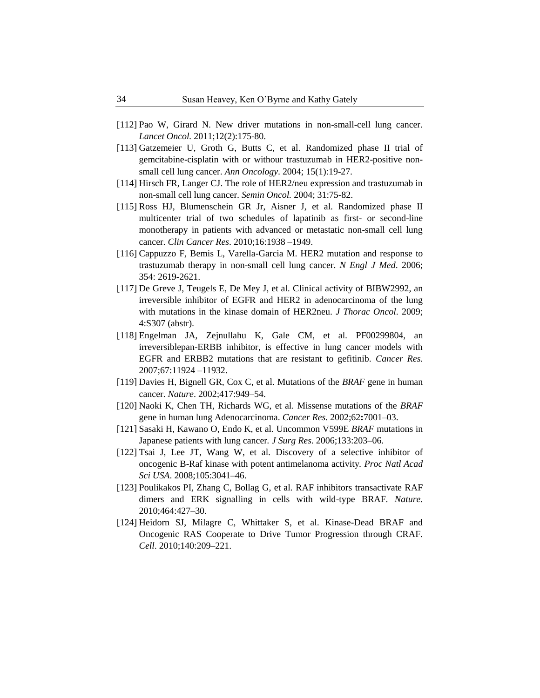- [112] Pao W, Girard N. New driver mutations in non-small-cell lung cancer. *Lancet Oncol.* 2011;12(2):175-80.
- [113] Gatzemeier U, Groth G, Butts C, et al. Randomized phase II trial of gemcitabine-cisplatin with or withour trastuzumab in HER2-positive nonsmall cell lung cancer. *Ann Oncology*. 2004; 15(1):19-27.
- [114] Hirsch FR, Langer CJ. The role of HER2/neu expression and trastuzumab in non-small cell lung cancer. *Semin Oncol.* 2004; 31:75-82.
- [115] Ross HJ, Blumenschein GR Jr, Aisner J, et al. Randomized phase II multicenter trial of two schedules of lapatinib as first- or second-line monotherapy in patients with advanced or metastatic non-small cell lung cancer. *Clin Cancer Res*. 2010;16:1938 –1949.
- [116] Cappuzzo F, Bemis L, Varella-Garcia M. HER2 mutation and response to trastuzumab therapy in non-small cell lung cancer. *N Engl J Med*. 2006; 354: 2619-2621.
- [117] De Greve J, Teugels E, De Mey J, et al. Clinical activity of BIBW2992, an irreversible inhibitor of EGFR and HER2 in adenocarcinoma of the lung with mutations in the kinase domain of HER2neu. *J Thorac Oncol*. 2009; 4:S307 (abstr).
- [118] Engelman JA, Zejnullahu K, Gale CM, et al. PF00299804, an irreversiblepan-ERBB inhibitor, is effective in lung cancer models with EGFR and ERBB2 mutations that are resistant to gefitinib. *Cancer Res.* 2007;67:11924 –11932.
- [119] Davies H, Bignell GR, Cox C, et al. Mutations of the *BRAF* gene in human cancer. *Nature*. 2002;417:949–54.
- [120] Naoki K, Chen TH, Richards WG, et al. Missense mutations of the *BRAF*  gene in human lung Adenocarcinoma. *Cancer Res*. 2002;62**:**7001–03.
- [121] Sasaki H, Kawano O, Endo K, et al. Uncommon V599E *BRAF* mutations in Japanese patients with lung cancer*. J Surg Res*. 2006;133:203–06.
- [122] Tsai J, Lee JT, Wang W, et al. Discovery of a selective inhibitor of oncogenic B-Raf kinase with potent antimelanoma activity*. Proc Natl Acad Sci USA*. 2008;105:3041–46.
- [123] Poulikakos PI, Zhang C, Bollag G, et al. RAF inhibitors transactivate RAF dimers and ERK signalling in cells with wild-type BRAF. *Nature*. 2010;464:427–30.
- [124] Heidorn SJ, Milagre C, Whittaker S, et al. Kinase-Dead BRAF and Oncogenic RAS Cooperate to Drive Tumor Progression through CRAF. *Cell*. 2010;140:209–221.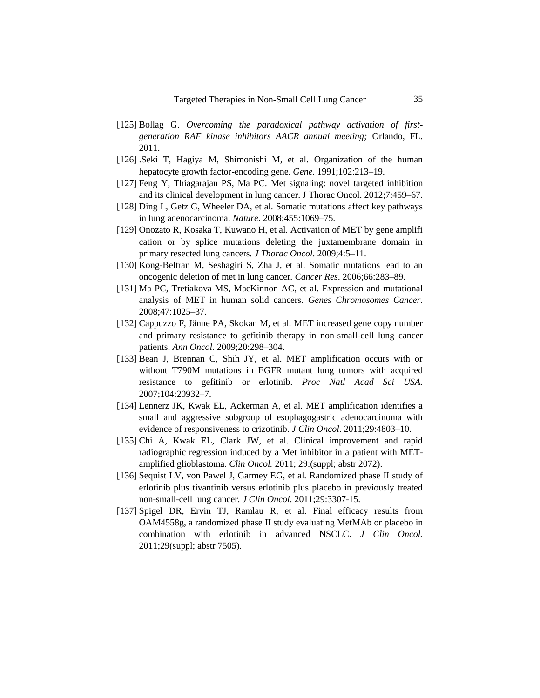- [125] Bollag G. *Overcoming the paradoxical pathway activation of firstgeneration RAF kinase inhibitors AACR annual meeting;* Orlando, FL. 2011.
- [126] .Seki T, Hagiya M, Shimonishi M, et al. Organization of the human hepatocyte growth factor-encoding gene. *Gene*. 1991;102:213–19.
- [127] Feng Y, Thiagarajan PS, Ma PC. Met signaling: novel targeted inhibition and its clinical development in lung cancer. J Thorac Oncol. 2012;7:459–67.
- [128] Ding L, Getz G, Wheeler DA, et al. Somatic mutations affect key pathways in lung adenocarcinoma. *Nature*. 2008;455:1069–75.
- [129] Onozato R, Kosaka T, Kuwano H, et al. Activation of MET by gene amplifi cation or by splice mutations deleting the juxtamembrane domain in primary resected lung cancers*. J Thorac Oncol*. 2009;4:5–11.
- [130] Kong-Beltran M, Seshagiri S, Zha J, et al. Somatic mutations lead to an oncogenic deletion of met in lung cancer*. Cancer Res*. 2006;66:283–89.
- [131] Ma PC, Tretiakova MS, MacKinnon AC, et al. Expression and mutational analysis of MET in human solid cancers. *Genes Chromosomes Cancer.* 2008;47:1025–37.
- [132] Cappuzzo F, Jänne PA, Skokan M, et al. MET increased gene copy number and primary resistance to gefitinib therapy in non-small-cell lung cancer patients. *Ann Oncol*. 2009;20:298–304.
- [133] Bean J, Brennan C, Shih JY, et al. MET amplification occurs with or without T790M mutations in EGFR mutant lung tumors with acquired resistance to gefitinib or erlotinib. *Proc Natl Acad Sci USA.* 2007;104:20932–7.
- [134] Lennerz JK, Kwak EL, Ackerman A, et al. MET amplification identifies a small and aggressive subgroup of esophagogastric adenocarcinoma with evidence of responsiveness to crizotinib. *J Clin Oncol*. 2011;29:4803–10.
- [135] Chi A, Kwak EL, Clark JW, et al. Clinical improvement and rapid radiographic regression induced by a Met inhibitor in a patient with METamplified glioblastoma. *Clin Oncol.* 2011; 29:(suppl; abstr 2072).
- [136] Sequist LV, von Pawel J, Garmey EG, et al. Randomized phase II study of erlotinib plus tivantinib versus erlotinib plus placebo in previously treated non-small-cell lung cancer*. J Clin Oncol*. 2011;29:3307-15.
- [137] Spigel DR, Ervin TJ, Ramlau R, et al. Final efficacy results from OAM4558g, a randomized phase II study evaluating MetMAb or placebo in combination with erlotinib in advanced NSCLC. *J Clin Oncol.* 2011;29(suppl; abstr 7505).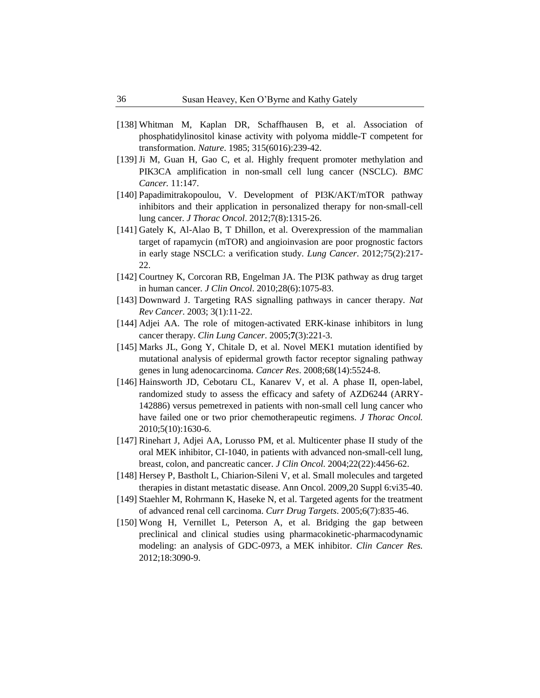- [138] Whitman M, [Kaplan DR,](http://www.ncbi.nlm.nih.gov/pubmed?term=Kaplan%20DR%5BAuthor%5D&cauthor=true&cauthor_uid=2987699) [Schaffhausen B,](http://www.ncbi.nlm.nih.gov/pubmed?term=Schaffhausen%20B%5BAuthor%5D&cauthor=true&cauthor_uid=2987699) et al. Association of phosphatidylinositol kinase activity with polyoma middle-T competent for transformation. *Nature*. 1985; 315(6016):239-42.
- [139] Ji M, [Guan H,](http://www.ncbi.nlm.nih.gov/pubmed?term=Guan%20H%5BAuthor%5D&cauthor=true&cauthor_uid=21507233) [Gao C,](http://www.ncbi.nlm.nih.gov/pubmed?term=Gao%20C%5BAuthor%5D&cauthor=true&cauthor_uid=21507233) et al. Highly frequent promoter methylation and PIK3CA amplification in non-small cell lung cancer (NSCLC). *BMC Cancer.* 11:147.
- [140] Papadimitrakopoulou, V. Development of PI3K/AKT/mTOR pathway inhibitors and their application in personalized therapy for non-small-cell lung cancer. *J Thorac Oncol*. 2012;7(8):1315-26.
- [141] Gately K, [Al-Alao B,](http://www.ncbi.nlm.nih.gov/pubmed?term=Al-Alao%20B%5BAuthor%5D&cauthor=true&cauthor_uid=21802763) [T Dhillon,](http://www.ncbi.nlm.nih.gov/pubmed?term=T%20Dhillon%5BAuthor%5D&cauthor=true&cauthor_uid=21802763) et al. Overexpression of the mammalian target of rapamycin (mTOR) and angioinvasion are poor prognostic factors in early stage NSCLC: a verification study. *Lung Cancer*. 2012;75(2):217- 22.
- [142] Courtney K, Corcoran RB, Engelman JA. The PI3K pathway as drug target in human cancer*. J Clin Oncol*. 2010;28(6):1075-83.
- [143] Downward J. Targeting RAS signalling pathways in cancer therapy. *Nat Rev Cancer*. 2003; 3(1):11-22.
- [144] Adjei AA. The role of mitogen-activated ERK-kinase inhibitors in lung cancer therapy. *Clin Lung Cancer*. 2005;**7**(3):221-3.
- [145] Marks JL, [Gong Y,](http://www.ncbi.nlm.nih.gov/pubmed?term=Gong%20Y%5BAuthor%5D&cauthor=true&cauthor_uid=18632602) [Chitale D,](http://www.ncbi.nlm.nih.gov/pubmed?term=Chitale%20D%5BAuthor%5D&cauthor=true&cauthor_uid=18632602) et al. Novel MEK1 mutation identified by mutational analysis of epidermal growth factor receptor signaling pathway genes in lung adenocarcinoma*. Cancer Res*. 2008;68(14):5524-8.
- [146] Hainsworth JD, [Cebotaru CL,](http://www.ncbi.nlm.nih.gov/pubmed?term=Cebotaru%20CL%5BAuthor%5D&cauthor=true&cauthor_uid=20802351) [Kanarev V,](http://www.ncbi.nlm.nih.gov/pubmed?term=Kanarev%20V%5BAuthor%5D&cauthor=true&cauthor_uid=20802351) et al. A phase II, open-label, randomized study to assess the efficacy and safety of AZD6244 (ARRY-142886) versus pemetrexed in patients with non-small cell lung cancer who have failed one or two prior chemotherapeutic regimens. *J Thorac Oncol.* 2010;5(10):1630-6.
- [147] Rinehart J, [Adjei AA,](http://www.ncbi.nlm.nih.gov/pubmed?term=Adjei%20AA%5BAuthor%5D&cauthor=true&cauthor_uid=15483017) [Lorusso PM,](http://www.ncbi.nlm.nih.gov/pubmed?term=Lorusso%20PM%5BAuthor%5D&cauthor=true&cauthor_uid=15483017) et al. Multicenter phase II study of the oral MEK inhibitor, CI-1040, in patients with advanced non-small-cell lung, breast, colon, and pancreatic cancer. *J Clin Oncol*. 2004;22(22):4456-62.
- [148] Hersey P, [Bastholt L,](http://www.ncbi.nlm.nih.gov/pubmed?term=Bastholt%20L%5BAuthor%5D&cauthor=true&cauthor_uid=19617296) [Chiarion-Sileni V,](http://www.ncbi.nlm.nih.gov/pubmed?term=Chiarion-Sileni%20V%5BAuthor%5D&cauthor=true&cauthor_uid=19617296) et al. Small molecules and targeted therapies in distant metastatic disease. Ann Oncol. 2009,20 Suppl 6:vi35-40.
- [149] Staehler M, [Rohrmann K,](http://www.ncbi.nlm.nih.gov/pubmed?term=Rohrmann%20K%5BAuthor%5D&cauthor=true&cauthor_uid=16305462) [Haseke N,](http://www.ncbi.nlm.nih.gov/pubmed?term=Haseke%20N%5BAuthor%5D&cauthor=true&cauthor_uid=16305462) et al. Targeted agents for the treatment of advanced renal cell carcinoma. *Curr Drug Targets*. 2005;6(7):835-46.
- [150] Wong H, [Vernillet L,](http://www.ncbi.nlm.nih.gov/pubmed?term=Vernillet%20L%5BAuthor%5D&cauthor=true&cauthor_uid=22496205) [Peterson A,](http://www.ncbi.nlm.nih.gov/pubmed?term=Peterson%20A%5BAuthor%5D&cauthor=true&cauthor_uid=22496205) et al. Bridging the gap between preclinical and clinical studies using pharmacokinetic-pharmacodynamic modeling: an analysis of GDC-0973, a MEK inhibitor. *Clin Cancer Res.* 2012;18:3090-9.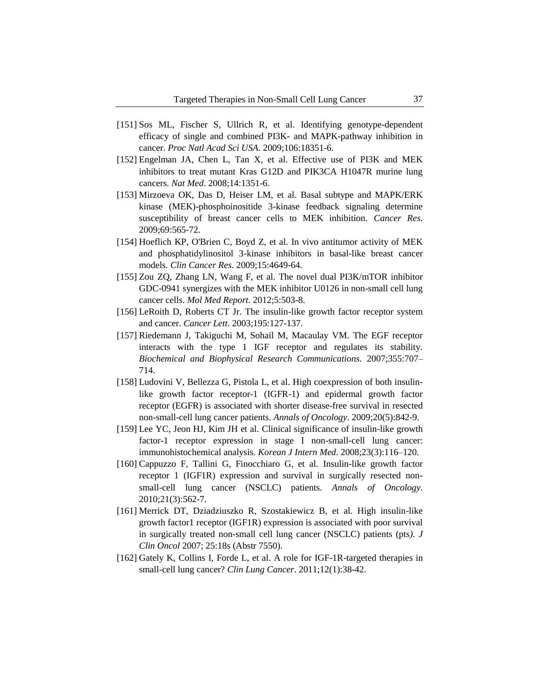- [151] Sos ML, [Fischer S,](http://www.ncbi.nlm.nih.gov/pubmed?term=Fischer%20S%5BAuthor%5D&cauthor=true&cauthor_uid=19805051) [Ullrich R,](http://www.ncbi.nlm.nih.gov/pubmed?term=Ullrich%20R%5BAuthor%5D&cauthor=true&cauthor_uid=19805051) et al. Identifying genotype-dependent efficacy of single and combined PI3K- and MAPK-pathway inhibition in cancer. *Proc Natl Acad Sci USA*. 2009;106:18351-6.
- [152] Engelman JA, [Chen L,](http://www.ncbi.nlm.nih.gov/pubmed?term=Chen%20L%5BAuthor%5D&cauthor=true&cauthor_uid=19029981) [Tan X,](http://www.ncbi.nlm.nih.gov/pubmed?term=Tan%20X%5BAuthor%5D&cauthor=true&cauthor_uid=19029981) et al. Effective use of PI3K and MEK inhibitors to treat mutant Kras G12D and PIK3CA H1047R murine lung cancers*. Nat Med*. 2008;14:1351-6.
- [153] Mirzoeva OK, [Das D,](http://www.ncbi.nlm.nih.gov/pubmed?term=Das%20D%5BAuthor%5D&cauthor=true&cauthor_uid=19147570) [Heiser LM,](http://www.ncbi.nlm.nih.gov/pubmed?term=Heiser%20LM%5BAuthor%5D&cauthor=true&cauthor_uid=19147570) et al. Basal subtype and MAPK/ERK kinase (MEK)-phosphoinositide 3-kinase feedback signaling determine susceptibility of breast cancer cells to MEK inhibition. *Cancer Res.* 2009;69:565-72.
- [154] Hoeflich KP, [O'Brien C,](http://www.ncbi.nlm.nih.gov/pubmed?term=O) [Boyd Z,](http://www.ncbi.nlm.nih.gov/pubmed?term=Boyd%20Z%5BAuthor%5D&cauthor=true&cauthor_uid=19567590) et al. In vivo antitumor activity of MEK and phosphatidylinositol 3-kinase inhibitors in basal-like breast cancer models. *Clin Cancer Res*. 2009;15:4649-64.
- [155] Zou ZQ, [Zhang LN,](http://www.ncbi.nlm.nih.gov/pubmed?term=Zhang%20LN%5BAuthor%5D&cauthor=true&cauthor_uid=22101421) [Wang F,](http://www.ncbi.nlm.nih.gov/pubmed?term=Wang%20F%5BAuthor%5D&cauthor=true&cauthor_uid=22101421) et al. The novel dual PI3K/mTOR inhibitor GDC-0941 synergizes with the MEK inhibitor U0126 in non-small cell lung cancer cells. *Mol Med Report*. 2012;5:503-8.
- [156] LeRoith D, Roberts CT Jr. The insulin-like growth factor receptor system and cancer. *Cancer Lett*. 2003;195:127-137.
- [157] Riedemann J, [Takiguchi M,](http://www.ncbi.nlm.nih.gov/pubmed?term=Takiguchi%20M%5BAuthor%5D&cauthor=true&cauthor_uid=17307140) [Sohail M,](http://www.ncbi.nlm.nih.gov/pubmed?term=Sohail%20M%5BAuthor%5D&cauthor=true&cauthor_uid=17307140) [Macaulay VM.](http://www.ncbi.nlm.nih.gov/pubmed?term=Macaulay%20VM%5BAuthor%5D&cauthor=true&cauthor_uid=17307140) The EGF receptor interacts with the type 1 IGF receptor and regulates its stability. *Biochemical and Biophysical Research Communications*. 2007;355:707– 714.
- [158] Ludovini V, Bellezza G, Pistola L, et al. High coexpression of both insulinlike growth factor receptor-1 (IGFR-1) and epidermal growth factor receptor (EGFR) is associated with shorter disease-free survival in resected non-small-cell lung cancer patients. *Annals of Oncology*. 2009;20(5):842-9.
- [159] Lee YC, Jeon HJ, Kim JH et al. Clinical significance of insulin-like growth factor-1 receptor expression in stage I non-small-cell lung cancer: immunohistochemical analysis*. Korean J Intern Med*. 2008;23(3):116–120.
- [160] Cappuzzo F, Tallini G, Finocchiaro G, et al. Insulin-like growth factor receptor 1 (IGF1R) expression and survival in surgically resected nonsmall-cell lung cancer (NSCLC) patients. *Annals of Oncology.* 2010;21(3):562-7.
- [161] Merrick DT, Dziadziuszko R, Szostakiewicz B, et al. High insulin-like growth factor1 receptor (IGF1R) expression is associated with poor survival in surgically treated non-small cell lung cancer (NSCLC) patients (pts*). J Clin Oncol* 2007; 25:18s (Abstr 7550).
- [162] Gately K, Collins I, Forde L, et al. A role for IGF-1R-targeted therapies in [small-cell lung cancer?](http://www.ncbi.nlm.nih.gov/pubmed/21273178) *Clin Lung Cancer*. 2011;12(1):38-42.